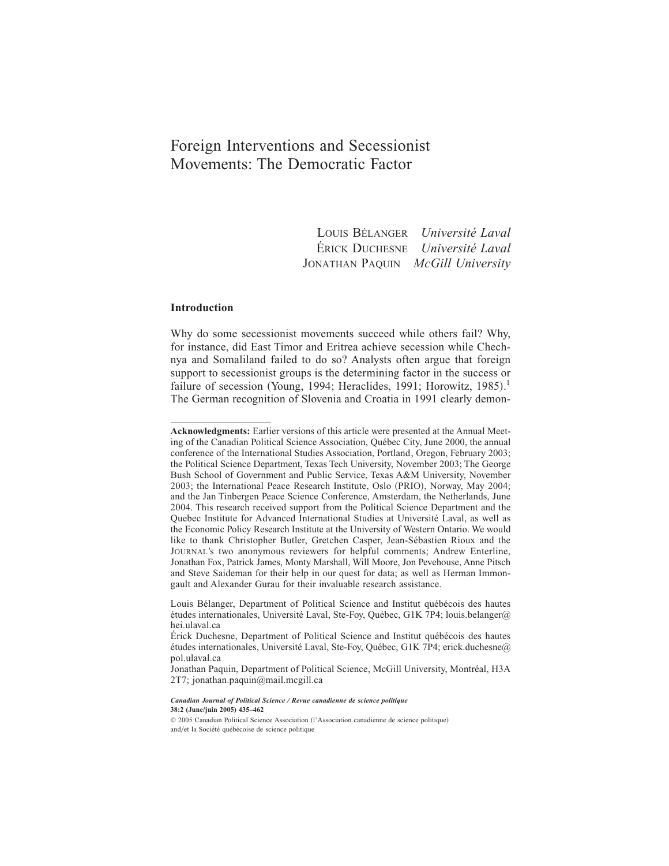# Foreign Interventions and Secessionist Movements: The Democratic Factor

LOUIS BÉLANGER *Université Laval* ÉRICK DUCHESNE *Université Laval* JONATHAN PAQUIN *McGill University*

# **Introduction**

Why do some secessionist movements succeed while others fail? Why, for instance, did East Timor and Eritrea achieve secession while Chechnya and Somaliland failed to do so? Analysts often argue that foreign support to secessionist groups is the determining factor in the success or failure of secession (Young, 1994; Heraclides, 1991; Horowitz, 1985).<sup>1</sup> The German recognition of Slovenia and Croatia in 1991 clearly demon-

**Acknowledgments:** Earlier versions of this article were presented at the Annual Meeting of the Canadian Political Science Association, Québec City, June 2000, the annual conference of the International Studies Association, Portland, Oregon, February 2003; the Political Science Department, Texas Tech University, November 2003; The George Bush School of Government and Public Service, Texas A&M University, November 2003; the International Peace Research Institute, Oslo (PRIO), Norway, May 2004; and the Jan Tinbergen Peace Science Conference, Amsterdam, the Netherlands, June 2004. This research received support from the Political Science Department and the Quebec Institute for Advanced International Studies at Université Laval, as well as the Economic Policy Research Institute at the University of Western Ontario. We would like to thank Christopher Butler, Gretchen Casper, Jean-Sébastien Rioux and the JOURNAL's two anonymous reviewers for helpful comments; Andrew Enterline, Jonathan Fox, Patrick James, Monty Marshall, Will Moore, Jon Pevehouse, Anne Pitsch and Steve Saideman for their help in our quest for data; as well as Herman Immongault and Alexander Gurau for their invaluable research assistance.

Louis Bélanger, Department of Political Science and Institut québécois des hautes études internationales, Université Laval, Ste-Foy, Québec, G1K 7P4; louis.belanger@ hei.ulaval.ca

Érick Duchesne, Department of Political Science and Institut québécois des hautes études internationales, Université Laval, Ste-Foy, Québec, G1K 7P4; erick.duchesne@ pol.ulaval.ca

Jonathan Paquin, Department of Political Science, McGill University, Montréal, H3A 2T7; jonathan.paquin@mail.mcgill.ca

*Canadian Journal of Political Science / Revue canadienne de science politique* **38:2 (June/juin 2005) 435–462**

 $© 2005 Canadian Political Science Association (l'Association canadienne de science politique)$ and/et la Société québécoise de science politique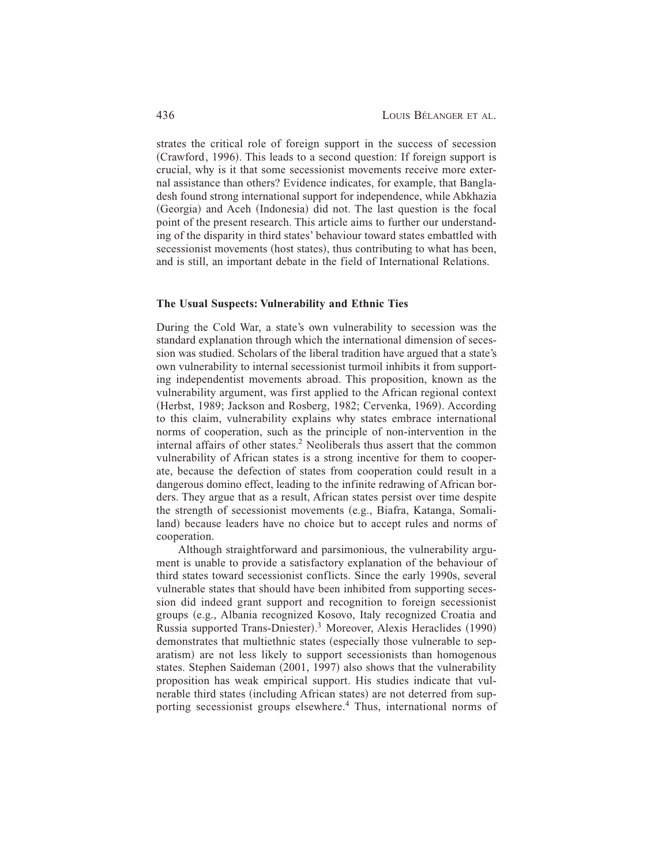strates the critical role of foreign support in the success of secession (Crawford, 1996). This leads to a second question: If foreign support is crucial, why is it that some secessionist movements receive more external assistance than others? Evidence indicates, for example, that Bangladesh found strong international support for independence, while Abkhazia (Georgia) and Aceh (Indonesia) did not. The last question is the focal point of the present research. This article aims to further our understanding of the disparity in third states' behaviour toward states embattled with secessionist movements (host states), thus contributing to what has been, and is still, an important debate in the field of International Relations.

#### **The Usual Suspects: Vulnerability and Ethnic Ties**

During the Cold War, a state's own vulnerability to secession was the standard explanation through which the international dimension of secession was studied. Scholars of the liberal tradition have argued that a state's own vulnerability to internal secessionist turmoil inhibits it from supporting independentist movements abroad. This proposition, known as the vulnerability argument, was first applied to the African regional context (Herbst, 1989; Jackson and Rosberg, 1982; Cervenka, 1969). According to this claim, vulnerability explains why states embrace international norms of cooperation, such as the principle of non-intervention in the internal affairs of other states.<sup>2</sup> Neoliberals thus assert that the common vulnerability of African states is a strong incentive for them to cooperate, because the defection of states from cooperation could result in a dangerous domino effect, leading to the infinite redrawing of African borders. They argue that as a result, African states persist over time despite the strength of secessionist movements (e.g., Biafra, Katanga, Somaliland) because leaders have no choice but to accept rules and norms of cooperation.

Although straightforward and parsimonious, the vulnerability argument is unable to provide a satisfactory explanation of the behaviour of third states toward secessionist conflicts. Since the early 1990s, several vulnerable states that should have been inhibited from supporting secession did indeed grant support and recognition to foreign secessionist groups (e.g., Albania recognized Kosovo, Italy recognized Croatia and Russia supported Trans-Dniester).<sup>3</sup> Moreover, Alexis Heraclides (1990) demonstrates that multiethnic states (especially those vulnerable to separatism) are not less likely to support secessionists than homogenous states. Stephen Saideman  $(2001, 1997)$  also shows that the vulnerability proposition has weak empirical support. His studies indicate that vulnerable third states (including African states) are not deterred from supporting secessionist groups elsewhere.<sup>4</sup> Thus, international norms of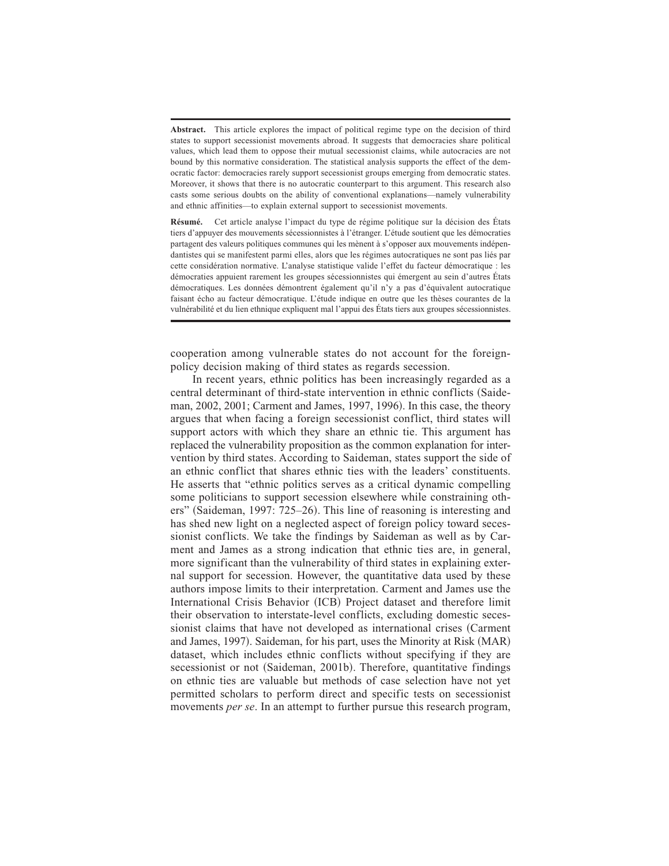**Abstract.** This article explores the impact of political regime type on the decision of third states to support secessionist movements abroad. It suggests that democracies share political values, which lead them to oppose their mutual secessionist claims, while autocracies are not bound by this normative consideration. The statistical analysis supports the effect of the democratic factor: democracies rarely support secessionist groups emerging from democratic states. Moreover, it shows that there is no autocratic counterpart to this argument. This research also casts some serious doubts on the ability of conventional explanations—namely vulnerability and ethnic affinities—to explain external support to secessionist movements.

**Résumé.** Cet article analyse l'impact du type de régime politique sur la décision des États tiers d'appuyer des mouvements sécessionnistes à l'étranger. L'étude soutient que les démocraties partagent des valeurs politiques communes qui les mènent à s'opposer aux mouvements indépendantistes qui se manifestent parmi elles, alors que les régimes autocratiques ne sont pas liés par cette considération normative. L'analyse statistique valide l'effet du facteur démocratique : les démocraties appuient rarement les groupes sécessionnistes qui émergent au sein d'autres États démocratiques. Les données démontrent également qu'il n'y a pas d'équivalent autocratique faisant écho au facteur démocratique. L'étude indique en outre que les thèses courantes de la vulnérabilité et du lien ethnique expliquent mal l'appui des États tiers aux groupes sécessionnistes.

cooperation among vulnerable states do not account for the foreignpolicy decision making of third states as regards secession.

In recent years, ethnic politics has been increasingly regarded as a central determinant of third-state intervention in ethnic conflicts (Saideman, 2002, 2001; Carment and James, 1997, 1996). In this case, the theory argues that when facing a foreign secessionist conflict, third states will support actors with which they share an ethnic tie. This argument has replaced the vulnerability proposition as the common explanation for intervention by third states. According to Saideman, states support the side of an ethnic conflict that shares ethnic ties with the leaders' constituents. He asserts that "ethnic politics serves as a critical dynamic compelling some politicians to support secession elsewhere while constraining others" (Saideman, 1997: 725–26). This line of reasoning is interesting and has shed new light on a neglected aspect of foreign policy toward secessionist conflicts. We take the findings by Saideman as well as by Carment and James as a strong indication that ethnic ties are, in general, more significant than the vulnerability of third states in explaining external support for secession. However, the quantitative data used by these authors impose limits to their interpretation. Carment and James use the International Crisis Behavior (ICB) Project dataset and therefore limit their observation to interstate-level conflicts, excluding domestic secessionist claims that have not developed as international crises (Carment and James, 1997). Saideman, for his part, uses the Minority at Risk (MAR) dataset, which includes ethnic conflicts without specifying if they are secessionist or not (Saideman, 2001b). Therefore, quantitative findings on ethnic ties are valuable but methods of case selection have not yet permitted scholars to perform direct and specific tests on secessionist movements *per se*. In an attempt to further pursue this research program,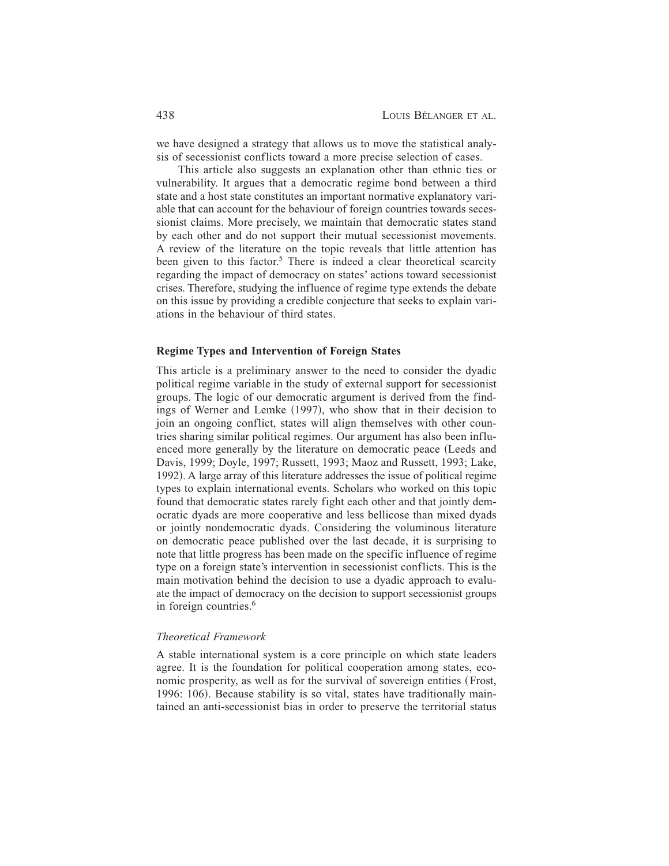we have designed a strategy that allows us to move the statistical analysis of secessionist conflicts toward a more precise selection of cases.

This article also suggests an explanation other than ethnic ties or vulnerability. It argues that a democratic regime bond between a third state and a host state constitutes an important normative explanatory variable that can account for the behaviour of foreign countries towards secessionist claims. More precisely, we maintain that democratic states stand by each other and do not support their mutual secessionist movements. A review of the literature on the topic reveals that little attention has been given to this factor.<sup>5</sup> There is indeed a clear theoretical scarcity regarding the impact of democracy on states' actions toward secessionist crises. Therefore, studying the influence of regime type extends the debate on this issue by providing a credible conjecture that seeks to explain variations in the behaviour of third states.

#### **Regime Types and Intervention of Foreign States**

This article is a preliminary answer to the need to consider the dyadic political regime variable in the study of external support for secessionist groups. The logic of our democratic argument is derived from the findings of Werner and Lemke  $(1997)$ , who show that in their decision to join an ongoing conflict, states will align themselves with other countries sharing similar political regimes. Our argument has also been influenced more generally by the literature on democratic peace (Leeds and Davis, 1999; Doyle, 1997; Russett, 1993; Maoz and Russett, 1993; Lake, 1992). A large array of this literature addresses the issue of political regime types to explain international events. Scholars who worked on this topic found that democratic states rarely fight each other and that jointly democratic dyads are more cooperative and less bellicose than mixed dyads or jointly nondemocratic dyads. Considering the voluminous literature on democratic peace published over the last decade, it is surprising to note that little progress has been made on the specific influence of regime type on a foreign state's intervention in secessionist conflicts. This is the main motivation behind the decision to use a dyadic approach to evaluate the impact of democracy on the decision to support secessionist groups in foreign countries.<sup>6</sup>

## *Theoretical Framework*

A stable international system is a core principle on which state leaders agree. It is the foundation for political cooperation among states, economic prosperity, as well as for the survival of sovereign entities (Frost, 1996: 106). Because stability is so vital, states have traditionally maintained an anti-secessionist bias in order to preserve the territorial status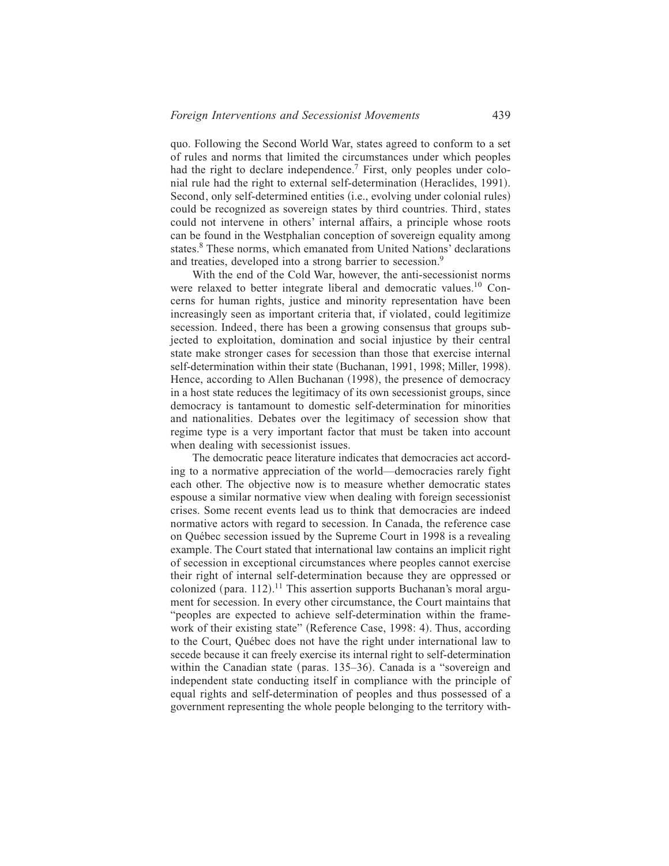quo. Following the Second World War, states agreed to conform to a set of rules and norms that limited the circumstances under which peoples had the right to declare independence.<sup>7</sup> First, only peoples under colonial rule had the right to external self-determination (Heraclides, 1991). Second, only self-determined entities (i.e., evolving under colonial rules) could be recognized as sovereign states by third countries. Third, states could not intervene in others' internal affairs, a principle whose roots can be found in the Westphalian conception of sovereign equality among states.<sup>8</sup> These norms, which emanated from United Nations' declarations and treaties, developed into a strong barrier to secession.<sup>9</sup>

With the end of the Cold War, however, the anti-secessionist norms were relaxed to better integrate liberal and democratic values.<sup>10</sup> Concerns for human rights, justice and minority representation have been increasingly seen as important criteria that, if violated, could legitimize secession. Indeed, there has been a growing consensus that groups subjected to exploitation, domination and social injustice by their central state make stronger cases for secession than those that exercise internal self-determination within their state (Buchanan, 1991, 1998; Miller, 1998). Hence, according to Allen Buchanan (1998), the presence of democracy in a host state reduces the legitimacy of its own secessionist groups, since democracy is tantamount to domestic self-determination for minorities and nationalities. Debates over the legitimacy of secession show that regime type is a very important factor that must be taken into account when dealing with secessionist issues.

The democratic peace literature indicates that democracies act according to a normative appreciation of the world—democracies rarely fight each other. The objective now is to measure whether democratic states espouse a similar normative view when dealing with foreign secessionist crises. Some recent events lead us to think that democracies are indeed normative actors with regard to secession. In Canada, the reference case on Québec secession issued by the Supreme Court in 1998 is a revealing example. The Court stated that international law contains an implicit right of secession in exceptional circumstances where peoples cannot exercise their right of internal self-determination because they are oppressed or colonized (para.  $112$ ).<sup>11</sup> This assertion supports Buchanan's moral argument for secession. In every other circumstance, the Court maintains that "peoples are expected to achieve self-determination within the framework of their existing state" (Reference Case, 1998: 4). Thus, according to the Court, Québec does not have the right under international law to secede because it can freely exercise its internal right to self-determination within the Canadian state (paras.  $135-36$ ). Canada is a "sovereign and independent state conducting itself in compliance with the principle of equal rights and self-determination of peoples and thus possessed of a government representing the whole people belonging to the territory with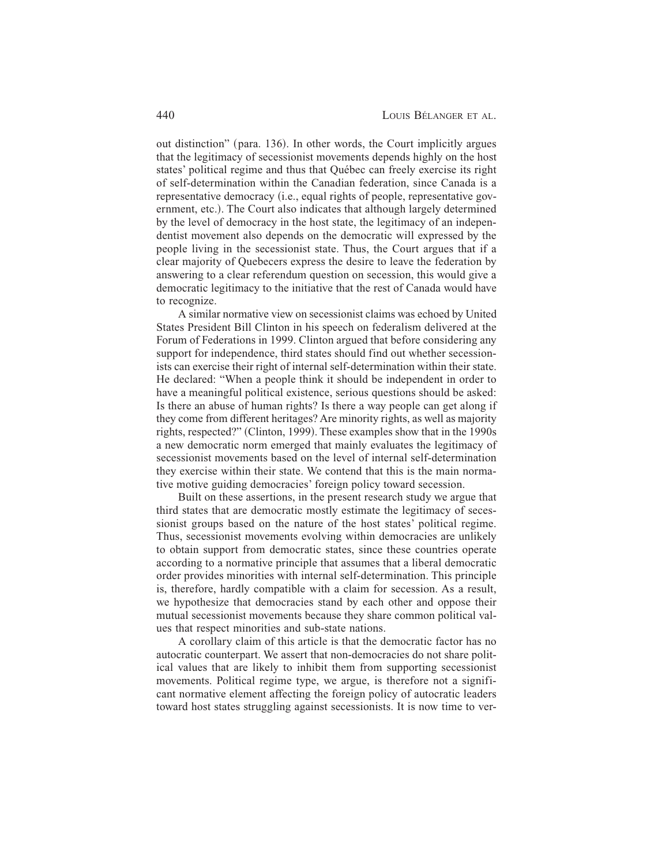out distinction" (para. 136). In other words, the Court implicitly argues that the legitimacy of secessionist movements depends highly on the host states' political regime and thus that Québec can freely exercise its right of self-determination within the Canadian federation, since Canada is a representative democracy (*i.e.*, equal rights of people, representative government, etc.). The Court also indicates that although largely determined by the level of democracy in the host state, the legitimacy of an independentist movement also depends on the democratic will expressed by the people living in the secessionist state. Thus, the Court argues that if a clear majority of Quebecers express the desire to leave the federation by answering to a clear referendum question on secession, this would give a democratic legitimacy to the initiative that the rest of Canada would have to recognize.

A similar normative view on secessionist claims was echoed by United States President Bill Clinton in his speech on federalism delivered at the Forum of Federations in 1999. Clinton argued that before considering any support for independence, third states should find out whether secessionists can exercise their right of internal self-determination within their state. He declared: "When a people think it should be independent in order to have a meaningful political existence, serious questions should be asked: Is there an abuse of human rights? Is there a way people can get along if they come from different heritages? Are minority rights, as well as majority rights, respected?" (Clinton, 1999). These examples show that in the 1990s a new democratic norm emerged that mainly evaluates the legitimacy of secessionist movements based on the level of internal self-determination they exercise within their state. We contend that this is the main normative motive guiding democracies' foreign policy toward secession.

Built on these assertions, in the present research study we argue that third states that are democratic mostly estimate the legitimacy of secessionist groups based on the nature of the host states' political regime. Thus, secessionist movements evolving within democracies are unlikely to obtain support from democratic states, since these countries operate according to a normative principle that assumes that a liberal democratic order provides minorities with internal self-determination. This principle is, therefore, hardly compatible with a claim for secession. As a result, we hypothesize that democracies stand by each other and oppose their mutual secessionist movements because they share common political values that respect minorities and sub-state nations.

A corollary claim of this article is that the democratic factor has no autocratic counterpart. We assert that non-democracies do not share political values that are likely to inhibit them from supporting secessionist movements. Political regime type, we argue, is therefore not a significant normative element affecting the foreign policy of autocratic leaders toward host states struggling against secessionists. It is now time to ver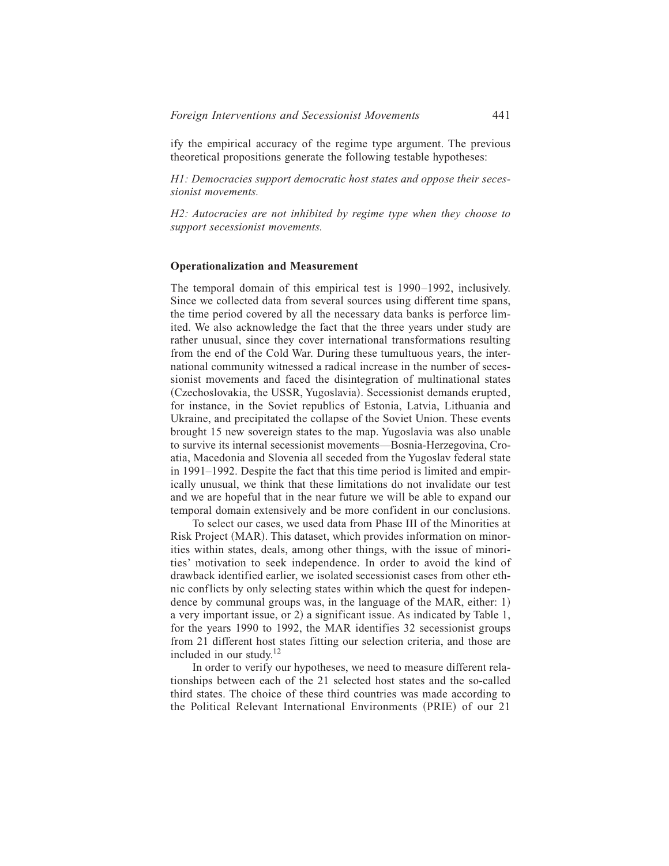ify the empirical accuracy of the regime type argument. The previous theoretical propositions generate the following testable hypotheses:

*H1: Democracies support democratic host states and oppose their secessionist movements.*

*H2: Autocracies are not inhibited by regime type when they choose to support secessionist movements.*

#### **Operationalization and Measurement**

The temporal domain of this empirical test is 1990–1992, inclusively. Since we collected data from several sources using different time spans, the time period covered by all the necessary data banks is perforce limited. We also acknowledge the fact that the three years under study are rather unusual, since they cover international transformations resulting from the end of the Cold War. During these tumultuous years, the international community witnessed a radical increase in the number of secessionist movements and faced the disintegration of multinational states (Czechoslovakia, the USSR, Yugoslavia). Secessionist demands erupted, for instance, in the Soviet republics of Estonia, Latvia, Lithuania and Ukraine, and precipitated the collapse of the Soviet Union. These events brought 15 new sovereign states to the map. Yugoslavia was also unable to survive its internal secessionist movements—Bosnia-Herzegovina, Croatia, Macedonia and Slovenia all seceded from the Yugoslav federal state in 1991–1992. Despite the fact that this time period is limited and empirically unusual, we think that these limitations do not invalidate our test and we are hopeful that in the near future we will be able to expand our temporal domain extensively and be more confident in our conclusions.

To select our cases, we used data from Phase III of the Minorities at Risk Project (MAR). This dataset, which provides information on minorities within states, deals, among other things, with the issue of minorities' motivation to seek independence. In order to avoid the kind of drawback identified earlier, we isolated secessionist cases from other ethnic conflicts by only selecting states within which the quest for independence by communal groups was, in the language of the MAR, either:  $1$ ) a very important issue, or 2) a significant issue. As indicated by Table 1, for the years 1990 to 1992, the MAR identifies 32 secessionist groups from 21 different host states fitting our selection criteria, and those are included in our study. $12$ 

In order to verify our hypotheses, we need to measure different relationships between each of the 21 selected host states and the so-called third states. The choice of these third countries was made according to the Political Relevant International Environments (PRIE) of our 21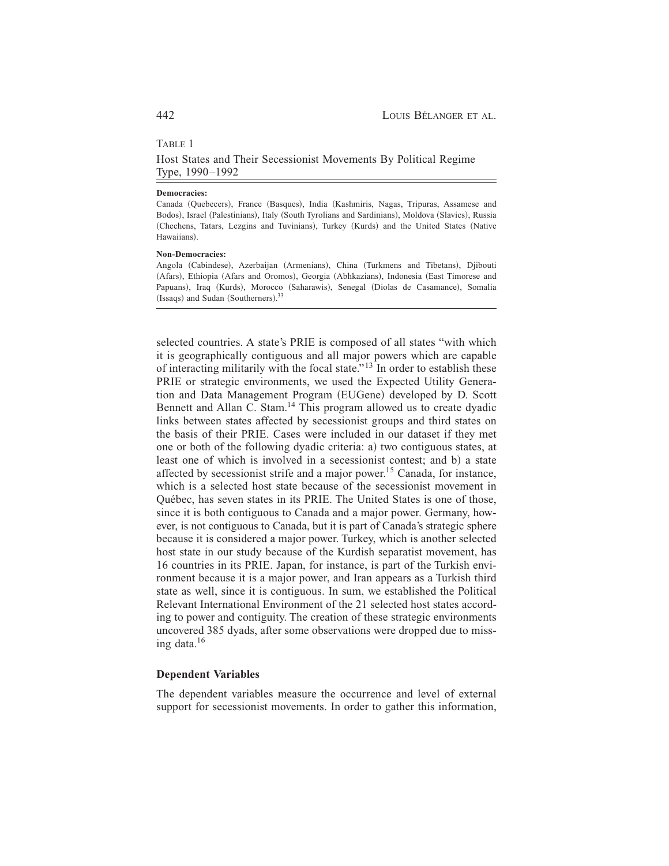# TABLE 1

Host States and Their Secessionist Movements By Political Regime Type, 1990–1992

#### **Democracies:**

Canada (Quebecers), France (Basques), India (Kashmiris, Nagas, Tripuras, Assamese and Bodos), Israel (Palestinians), Italy (South Tyrolians and Sardinians), Moldova (Slavics), Russia (Chechens, Tatars, Lezgins and Tuvinians), Turkey (Kurds) and the United States (Native Hawaiians).

#### **Non-Democracies:**

Angola (Cabindese), Azerbaijan (Armenians), China (Turkmens and Tibetans), Djibouti (Afars), Ethiopia (Afars and Oromos), Georgia (Abhkazians), Indonesia (East Timorese and Papuans), Iraq (Kurds), Morocco (Saharawis), Senegal (Diolas de Casamance), Somalia (Issaqs) and Sudan (Southerners). $33$ 

selected countries. A state's PRIE is composed of all states "with which it is geographically contiguous and all major powers which are capable of interacting militarily with the focal state."<sup>13</sup> In order to establish these PRIE or strategic environments, we used the Expected Utility Generation and Data Management Program (EUGene) developed by D. Scott Bennett and Allan C. Stam.<sup>14</sup> This program allowed us to create dyadic links between states affected by secessionist groups and third states on the basis of their PRIE. Cases were included in our dataset if they met one or both of the following dyadic criteria: a) two contiguous states, at least one of which is involved in a secessionist contest; and b) a state affected by secessionist strife and a major power.<sup>15</sup> Canada, for instance, which is a selected host state because of the secessionist movement in Québec, has seven states in its PRIE. The United States is one of those, since it is both contiguous to Canada and a major power. Germany, however, is not contiguous to Canada, but it is part of Canada's strategic sphere because it is considered a major power. Turkey, which is another selected host state in our study because of the Kurdish separatist movement, has 16 countries in its PRIE. Japan, for instance, is part of the Turkish environment because it is a major power, and Iran appears as a Turkish third state as well, since it is contiguous. In sum, we established the Political Relevant International Environment of the 21 selected host states according to power and contiguity. The creation of these strategic environments uncovered 385 dyads, after some observations were dropped due to missing data. $16$ 

# **Dependent Variables**

The dependent variables measure the occurrence and level of external support for secessionist movements. In order to gather this information,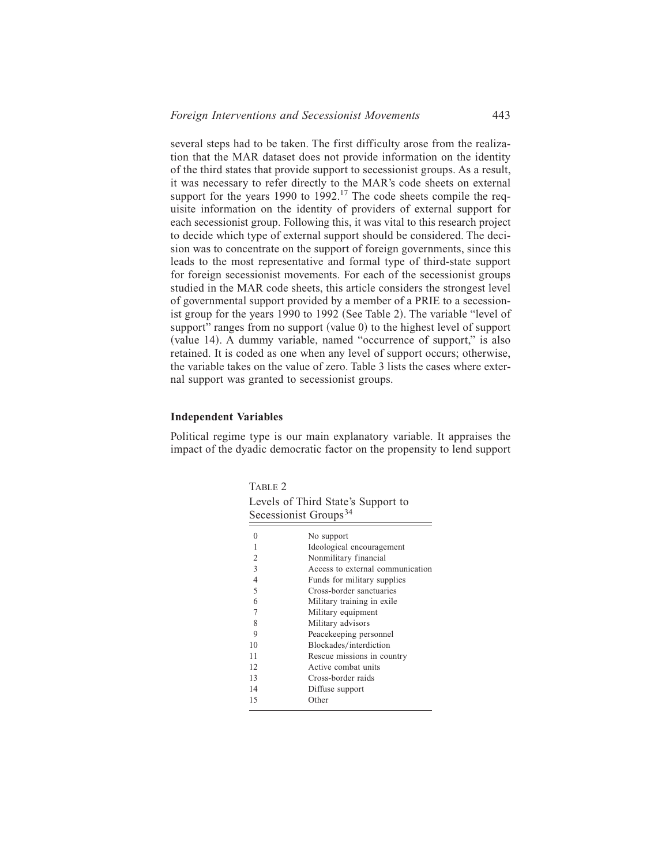several steps had to be taken. The first difficulty arose from the realization that the MAR dataset does not provide information on the identity of the third states that provide support to secessionist groups. As a result, it was necessary to refer directly to the MAR's code sheets on external support for the years 1990 to 1992.<sup>17</sup> The code sheets compile the requisite information on the identity of providers of external support for each secessionist group. Following this, it was vital to this research project to decide which type of external support should be considered. The decision was to concentrate on the support of foreign governments, since this leads to the most representative and formal type of third-state support for foreign secessionist movements. For each of the secessionist groups studied in the MAR code sheets, this article considers the strongest level of governmental support provided by a member of a PRIE to a secessionist group for the years 1990 to 1992 (See Table 2). The variable "level of support" ranges from no support (value  $\theta$ ) to the highest level of support  $\alpha$  (value 14). A dummy variable, named "occurrence of support," is also retained. It is coded as one when any level of support occurs; otherwise, the variable takes on the value of zero. Table 3 lists the cases where external support was granted to secessionist groups.

# **Independent Variables**

Political regime type is our main explanatory variable. It appraises the impact of the dyadic democratic factor on the propensity to lend support

TABLE 2

| Levels of Third State's Support to |  |  |
|------------------------------------|--|--|
| Secessionist Groups <sup>34</sup>  |  |  |

|                | No support                       |
|----------------|----------------------------------|
| 1              | Ideological encouragement        |
| 2              | Nonmilitary financial            |
| 3              | Access to external communication |
| $\overline{4}$ | Funds for military supplies      |
| 5              | Cross-border sanctuaries         |
| 6              | Military training in exile       |
| 7              | Military equipment               |
| 8              | Military advisors                |
| 9              | Peacekeeping personnel           |
| 10             | Blockades/interdiction           |
| 11             | Rescue missions in country       |
| 12             | Active combat units              |
| 13             | Cross-border raids               |
| 14             | Diffuse support                  |
| 15             | Other                            |
|                |                                  |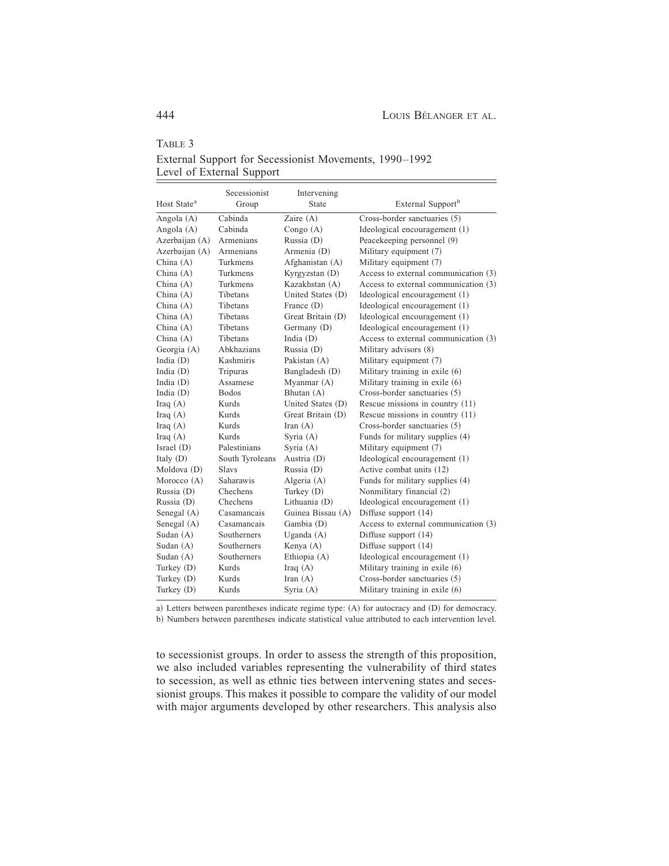TABLE 3

|                         | Secessionist    | Intervening       |                                      |
|-------------------------|-----------------|-------------------|--------------------------------------|
| Host State <sup>a</sup> | Group           | State             | External Support <sup>b</sup>        |
| Angola (A)              | Cabinda         | Zaire (A)         | Cross-border sanctuaries (5)         |
| Angola (A)              | Cabinda         | Congo $(A)$       | Ideological encouragement (1)        |
| Azerbaijan (A)          | Armenians       | Russia (D)        | Peacekeeping personnel (9)           |
| Azerbaijan (A)          | Armenians       | Armenia (D)       | Military equipment (7)               |
| China $(A)$             | Turkmens        | Afghanistan (A)   | Military equipment (7)               |
| China $(A)$             | Turkmens        | Kyrgyzstan (D)    | Access to external communication (3) |
| China $(A)$             | Turkmens        | Kazakhstan (A)    | Access to external communication (3) |
| China $(A)$             | Tibetans        | United States (D) | Ideological encouragement (1)        |
| China $(A)$             | Tibetans        | France (D)        | Ideological encouragement (1)        |
| China $(A)$             | Tibetans        | Great Britain (D) | Ideological encouragement (1)        |
| China $(A)$             | Tibetans        | Germany (D)       | Ideological encouragement (1)        |
| China $(A)$             | Tibetans        | India (D)         | Access to external communication (3) |
| Georgia (A)             | Abkhazians      | Russia (D)        | Military advisors (8)                |
| India $(D)$             | Kashmiris       | Pakistan (A)      | Military equipment (7)               |
| India $(D)$             | Tripuras        | Bangladesh (D)    | Military training in exile (6)       |
| India $(D)$             | Assamese        | Myanmar (A)       | Military training in exile (6)       |
| India $(D)$             | <b>Bodos</b>    | Bhutan (A)        | Cross-border sanctuaries (5)         |
| Iraq $(A)$              | Kurds           | United States (D) | Rescue missions in country $(11)$    |
| Iraq $(A)$              | Kurds           | Great Britain (D) | Rescue missions in country $(11)$    |
| Iraq $(A)$              | Kurds           | Iran $(A)$        | Cross-border sanctuaries (5)         |
| Iraq $(A)$              | Kurds           | Syria $(A)$       | Funds for military supplies (4)      |
| Israel (D)              | Palestinians    | Syria (A)         | Military equipment (7)               |
| Italy $(D)$             | South Tyroleans | Austria (D)       | Ideological encouragement (1)        |
| Moldova (D)             | Slavs           | Russia (D)        | Active combat units (12)             |
| Morocco (A)             | Saharawis       | Algeria (A)       | Funds for military supplies (4)      |
| Russia (D)              | Chechens        | Turkey (D)        | Nonmilitary financial (2)            |
| Russia (D)              | Chechens        | Lithuania (D)     | Ideological encouragement (1)        |
| Senegal (A)             | Casamancais     | Guinea Bissau (A) | Diffuse support (14)                 |
| Senegal (A)             | Casamancais     | Gambia (D)        | Access to external communication (3) |
| Sudan $(A)$             | Southerners     | Uganda $(A)$      | Diffuse support (14)                 |
| Sudan $(A)$             | Southerners     | Kenya (A)         | Diffuse support (14)                 |
| Sudan $(A)$             | Southerners     | Ethiopia (A)      | Ideological encouragement (1)        |
| Turkey $(D)$            | Kurds           | Iraq $(A)$        | Military training in exile (6)       |
| Turkey (D)              | Kurds           | Iran $(A)$        | Cross-border sanctuaries (5)         |
| Turkey (D)              | Kurds           | Syria (A)         | Military training in exile (6)       |

External Support for Secessionist Movements, 1990–1992 Level of External Support

a) Letters between parentheses indicate regime type:  $(A)$  for autocracy and  $(D)$  for democracy. b) Numbers between parentheses indicate statistical value attributed to each intervention level.

to secessionist groups. In order to assess the strength of this proposition, we also included variables representing the vulnerability of third states to secession, as well as ethnic ties between intervening states and secessionist groups. This makes it possible to compare the validity of our model with major arguments developed by other researchers. This analysis also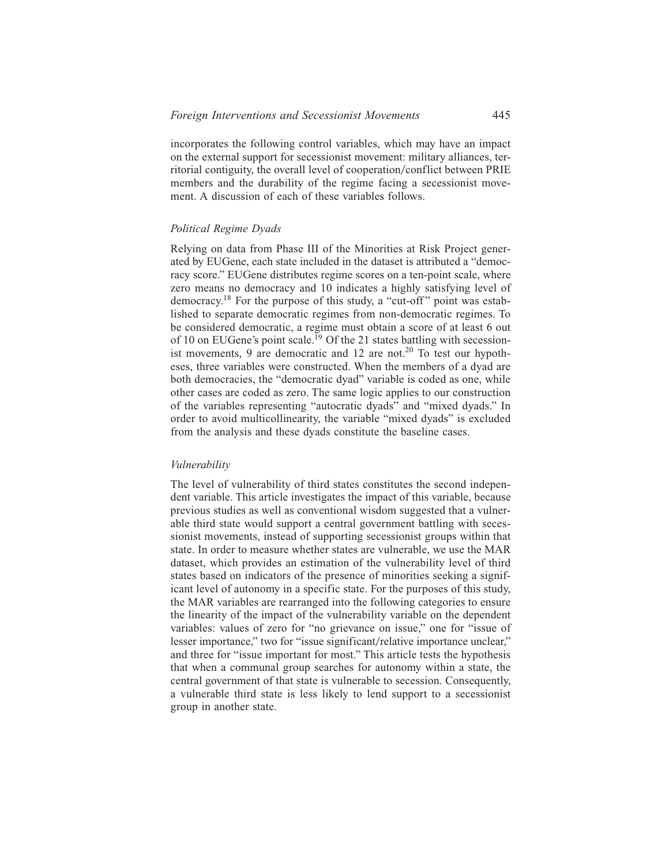incorporates the following control variables, which may have an impact on the external support for secessionist movement: military alliances, territorial contiguity, the overall level of cooperation/conflict between PRIE members and the durability of the regime facing a secessionist movement. A discussion of each of these variables follows.

# *Political Regime Dyads*

Relying on data from Phase III of the Minorities at Risk Project generated by EUGene, each state included in the dataset is attributed a "democracy score." EUGene distributes regime scores on a ten-point scale, where zero means no democracy and 10 indicates a highly satisfying level of democracy.<sup>18</sup> For the purpose of this study, a "cut-off" point was established to separate democratic regimes from non-democratic regimes. To be considered democratic, a regime must obtain a score of at least 6 out of 10 on EUGene's point scale.<sup>19</sup> Of the 21 states battling with secessionist movements, 9 are democratic and 12 are not.<sup>20</sup> To test our hypotheses, three variables were constructed. When the members of a dyad are both democracies, the "democratic dyad" variable is coded as one, while other cases are coded as zero. The same logic applies to our construction of the variables representing "autocratic dyads" and "mixed dyads." In order to avoid multicollinearity, the variable "mixed dyads" is excluded from the analysis and these dyads constitute the baseline cases.

## *Vulnerability*

The level of vulnerability of third states constitutes the second independent variable. This article investigates the impact of this variable, because previous studies as well as conventional wisdom suggested that a vulnerable third state would support a central government battling with secessionist movements, instead of supporting secessionist groups within that state. In order to measure whether states are vulnerable, we use the MAR dataset, which provides an estimation of the vulnerability level of third states based on indicators of the presence of minorities seeking a significant level of autonomy in a specific state. For the purposes of this study, the MAR variables are rearranged into the following categories to ensure the linearity of the impact of the vulnerability variable on the dependent variables: values of zero for "no grievance on issue," one for "issue of lesser importance," two for "issue significant/relative importance unclear," and three for "issue important for most." This article tests the hypothesis that when a communal group searches for autonomy within a state, the central government of that state is vulnerable to secession. Consequently, a vulnerable third state is less likely to lend support to a secessionist group in another state.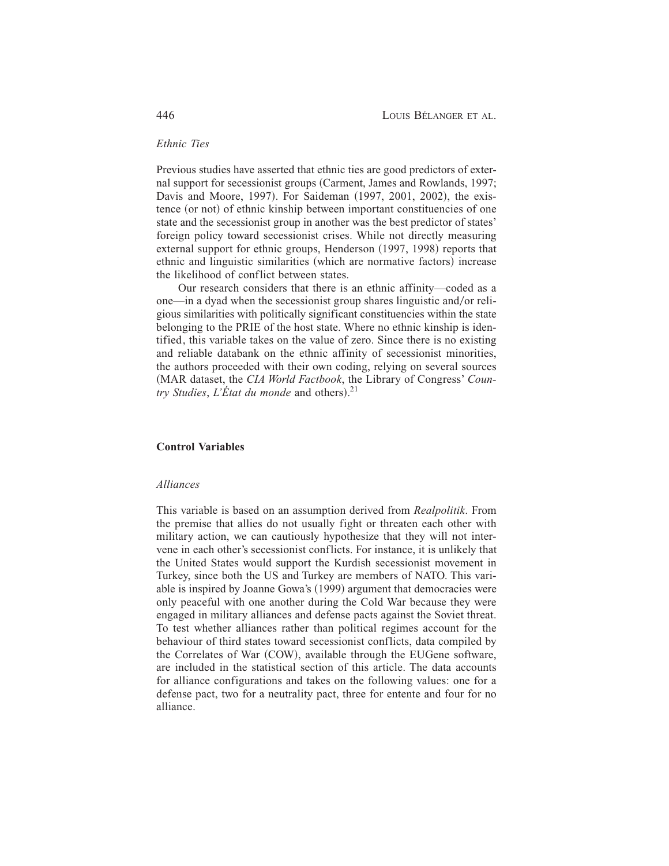# *Ethnic Ties*

Previous studies have asserted that ethnic ties are good predictors of external support for secessionist groups (Carment, James and Rowlands, 1997; Davis and Moore, 1997). For Saideman (1997, 2001, 2002), the existence (or not) of ethnic kinship between important constituencies of one state and the secessionist group in another was the best predictor of states' foreign policy toward secessionist crises. While not directly measuring external support for ethnic groups, Henderson (1997, 1998) reports that ethnic and linguistic similarities (which are normative factors) increase the likelihood of conflict between states.

Our research considers that there is an ethnic affinity—coded as a one—in a dyad when the secessionist group shares linguistic and/or religious similarities with politically significant constituencies within the state belonging to the PRIE of the host state. Where no ethnic kinship is identified, this variable takes on the value of zero. Since there is no existing and reliable databank on the ethnic affinity of secessionist minorities, the authors proceeded with their own coding, relying on several sources (MAR dataset, the *CIA World Factbook*, the Library of Congress' *Country Studies, L'État du monde* and others).<sup>21</sup>

#### **Control Variables**

#### *Alliances*

This variable is based on an assumption derived from *Realpolitik*. From the premise that allies do not usually fight or threaten each other with military action, we can cautiously hypothesize that they will not intervene in each other's secessionist conflicts. For instance, it is unlikely that the United States would support the Kurdish secessionist movement in Turkey, since both the US and Turkey are members of NATO. This variable is inspired by Joanne Gowa's (1999) argument that democracies were only peaceful with one another during the Cold War because they were engaged in military alliances and defense pacts against the Soviet threat. To test whether alliances rather than political regimes account for the behaviour of third states toward secessionist conflicts, data compiled by the Correlates of War (COW), available through the EUGene software, are included in the statistical section of this article. The data accounts for alliance configurations and takes on the following values: one for a defense pact, two for a neutrality pact, three for entente and four for no alliance.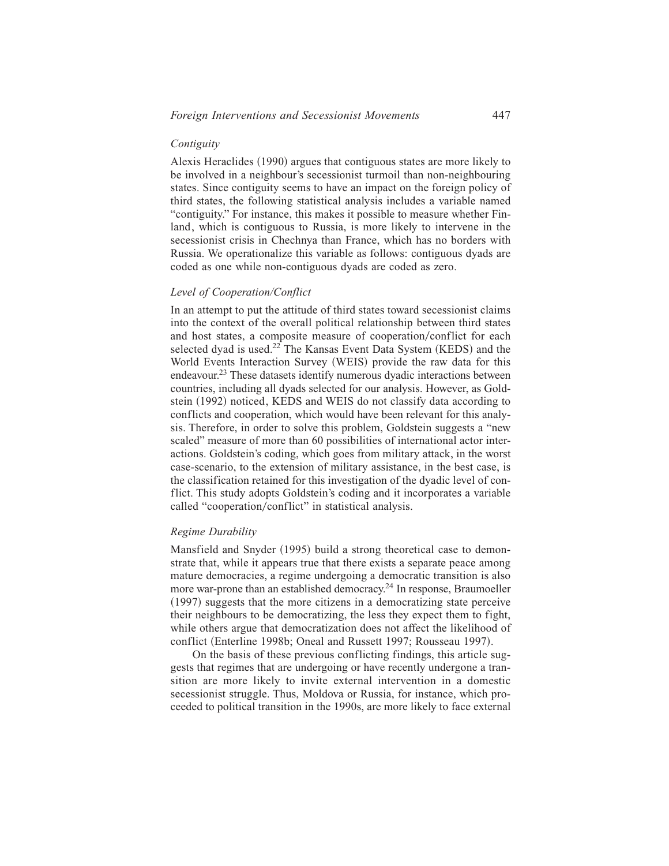# *Contiguity*

Alexis Heraclides (1990) argues that contiguous states are more likely to be involved in a neighbour's secessionist turmoil than non-neighbouring states. Since contiguity seems to have an impact on the foreign policy of third states, the following statistical analysis includes a variable named "contiguity." For instance, this makes it possible to measure whether Finland, which is contiguous to Russia, is more likely to intervene in the secessionist crisis in Chechnya than France, which has no borders with Russia. We operationalize this variable as follows: contiguous dyads are coded as one while non-contiguous dyads are coded as zero.

# *Level of Cooperation/Conflict*

In an attempt to put the attitude of third states toward secessionist claims into the context of the overall political relationship between third states and host states, a composite measure of cooperation/conflict for each selected dyad is used.<sup>22</sup> The Kansas Event Data System (KEDS) and the World Events Interaction Survey (WEIS) provide the raw data for this endeavour.<sup>23</sup> These datasets identify numerous dyadic interactions between countries, including all dyads selected for our analysis. However, as Goldstein (1992) noticed, KEDS and WEIS do not classify data according to conflicts and cooperation, which would have been relevant for this analysis. Therefore, in order to solve this problem, Goldstein suggests a "new scaled" measure of more than 60 possibilities of international actor interactions. Goldstein's coding, which goes from military attack, in the worst case-scenario, to the extension of military assistance, in the best case, is the classification retained for this investigation of the dyadic level of conflict. This study adopts Goldstein's coding and it incorporates a variable called "cooperation/conflict" in statistical analysis.

## *Regime Durability*

Mansfield and Snyder (1995) build a strong theoretical case to demonstrate that, while it appears true that there exists a separate peace among mature democracies, a regime undergoing a democratic transition is also more war-prone than an established democracy.<sup>24</sup> In response, Braumoeller  $(1997)$  suggests that the more citizens in a democratizing state perceive their neighbours to be democratizing, the less they expect them to fight, while others argue that democratization does not affect the likelihood of conflict (Enterline 1998b; Oneal and Russett 1997; Rousseau 1997).

On the basis of these previous conflicting findings, this article suggests that regimes that are undergoing or have recently undergone a transition are more likely to invite external intervention in a domestic secessionist struggle. Thus, Moldova or Russia, for instance, which proceeded to political transition in the 1990s, are more likely to face external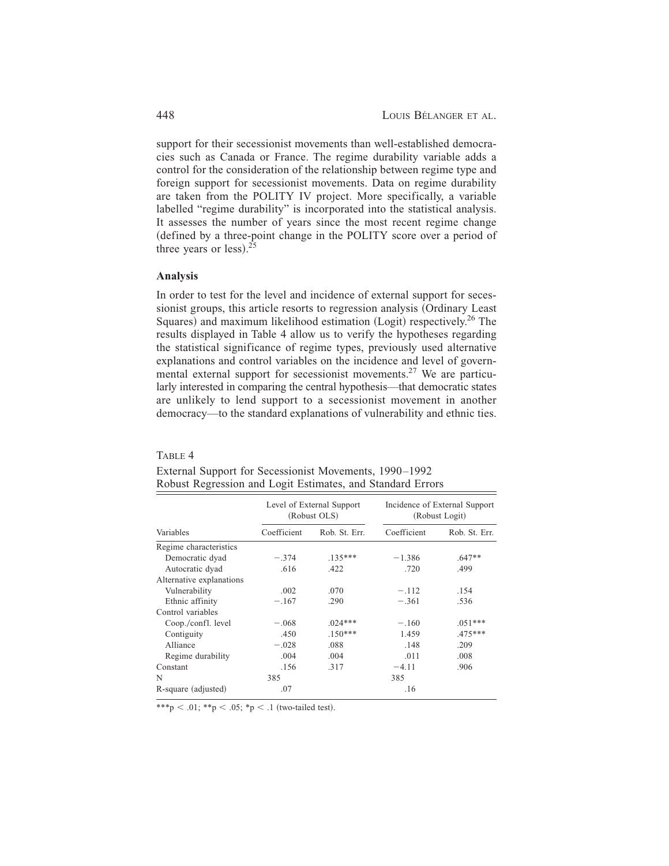support for their secessionist movements than well-established democracies such as Canada or France. The regime durability variable adds a control for the consideration of the relationship between regime type and foreign support for secessionist movements. Data on regime durability are taken from the POLITY IV project. More specifically, a variable labelled "regime durability" is incorporated into the statistical analysis. It assesses the number of years since the most recent regime change (defined by a three-point change in the POLITY score over a period of three years or  $less$ ).<sup>25</sup>

# **Analysis**

TABLE 4

In order to test for the level and incidence of external support for secessionist groups, this article resorts to regression analysis (Ordinary Least Squares) and maximum likelihood estimation  $(Logit)$  respectively.<sup>26</sup> The results displayed in Table 4 allow us to verify the hypotheses regarding the statistical significance of regime types, previously used alternative explanations and control variables on the incidence and level of governmental external support for secessionist movements.<sup>27</sup> We are particularly interested in comparing the central hypothesis—that democratic states are unlikely to lend support to a secessionist movement in another democracy—to the standard explanations of vulnerability and ethnic ties.

|                          | Level of External Support<br>(Robust OLS) |               | Incidence of External Support<br>(Robust Logit) |               |
|--------------------------|-------------------------------------------|---------------|-------------------------------------------------|---------------|
| Variables                | Coefficient                               | Rob. St. Err. | Coefficient                                     | Rob. St. Err. |
| Regime characteristics   |                                           |               |                                                 |               |
| Democratic dyad          | $-.374$                                   | $.135***$     | $-1.386$                                        | $.647**$      |
| Autocratic dyad          | .616                                      | .422          | .720                                            | .499          |
| Alternative explanations |                                           |               |                                                 |               |
| Vulnerability            | .002                                      | .070          | $-.112$                                         | .154          |
| Ethnic affinity          | $-.167$                                   | .290          | $-.361$                                         | .536          |
| Control variables        |                                           |               |                                                 |               |
| Coop./confl. level       | $-.068$                                   | $.024***$     | $-.160$                                         | $.051***$     |
| Contiguity               | .450                                      | $.150***$     | 1.459                                           | .475***       |
| Alliance                 | $-.028$                                   | .088          | .148                                            | .209          |
| Regime durability        | .004                                      | .004          | .011                                            | .008          |
| Constant                 | .156                                      | .317          | $-4.11$                                         | .906          |
| N                        | 385                                       |               | 385                                             |               |
| R-square (adjusted)      | .07                                       |               | .16                                             |               |

External Support for Secessionist Movements, 1990–1992 Robust Regression and Logit Estimates, and Standard Errors

\*\*\*p < .01; \*\*p < .05; \*p < .1 (two-tailed test).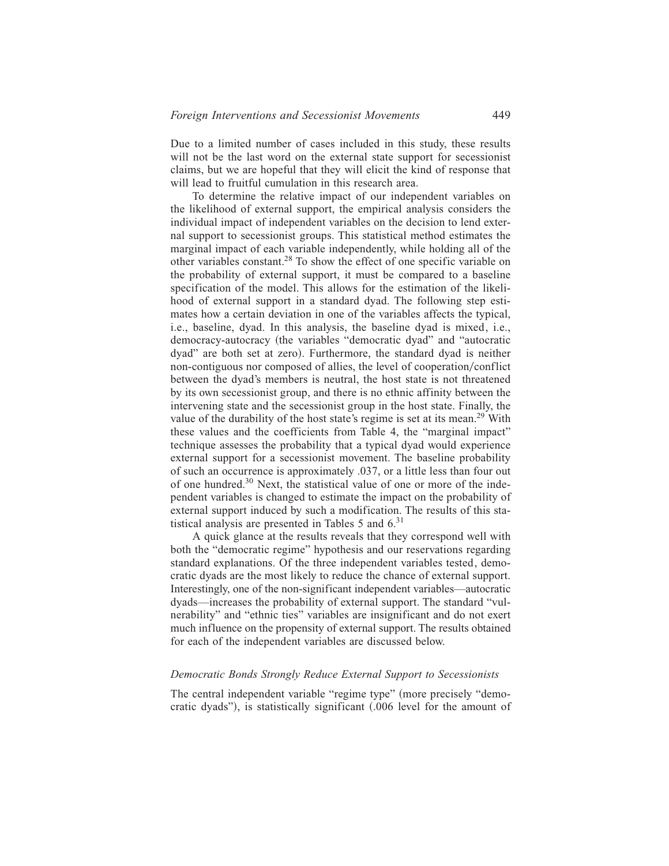Due to a limited number of cases included in this study, these results will not be the last word on the external state support for secessionist claims, but we are hopeful that they will elicit the kind of response that will lead to fruitful cumulation in this research area.

To determine the relative impact of our independent variables on the likelihood of external support, the empirical analysis considers the individual impact of independent variables on the decision to lend external support to secessionist groups. This statistical method estimates the marginal impact of each variable independently, while holding all of the other variables constant.<sup>28</sup> To show the effect of one specific variable on the probability of external support, it must be compared to a baseline specification of the model. This allows for the estimation of the likelihood of external support in a standard dyad. The following step estimates how a certain deviation in one of the variables affects the typical, i.e., baseline, dyad. In this analysis, the baseline dyad is mixed, i.e., democracy-autocracy (the variables "democratic dyad" and "autocratic dyad" are both set at zero). Furthermore, the standard dyad is neither non-contiguous nor composed of allies, the level of cooperation/conflict between the dyad's members is neutral, the host state is not threatened by its own secessionist group, and there is no ethnic affinity between the intervening state and the secessionist group in the host state. Finally, the value of the durability of the host state's regime is set at its mean.<sup>29</sup> With these values and the coefficients from Table 4, the "marginal impact" technique assesses the probability that a typical dyad would experience external support for a secessionist movement. The baseline probability of such an occurrence is approximately .037, or a little less than four out of one hundred.<sup>30</sup> Next, the statistical value of one or more of the independent variables is changed to estimate the impact on the probability of external support induced by such a modification. The results of this statistical analysis are presented in Tables 5 and  $6<sup>31</sup>$ 

A quick glance at the results reveals that they correspond well with both the "democratic regime" hypothesis and our reservations regarding standard explanations. Of the three independent variables tested, democratic dyads are the most likely to reduce the chance of external support. Interestingly, one of the non-significant independent variables—autocratic dyads—increases the probability of external support. The standard "vulnerability" and "ethnic ties" variables are insignificant and do not exert much influence on the propensity of external support. The results obtained for each of the independent variables are discussed below.

## *Democratic Bonds Strongly Reduce External Support to Secessionists*

The central independent variable "regime type" (more precisely "democratic dyads"), is statistically significant  $(.006$  level for the amount of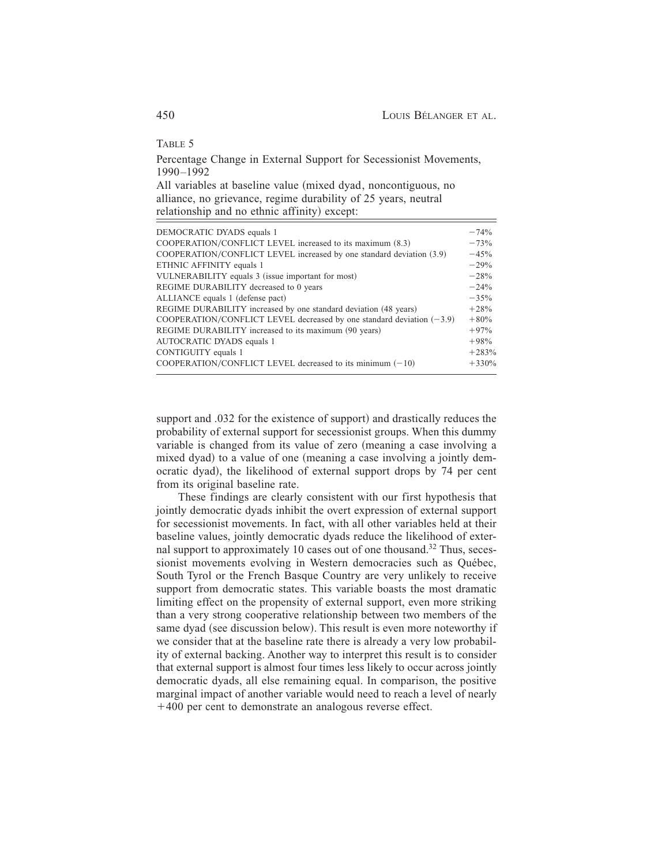TABLE 5

Percentage Change in External Support for Secessionist Movements, 1990–1992

All variables at baseline value (mixed dyad, noncontiguous, no alliance, no grievance, regime durability of 25 years, neutral relationship and no ethnic affinity) except:

| DEMOCRATIC DYADS equals 1                                               | $-74%$  |
|-------------------------------------------------------------------------|---------|
| COOPERATION/CONFLICT LEVEL increased to its maximum (8.3)               | $-73%$  |
| COOPERATION/CONFLICT LEVEL increased by one standard deviation (3.9)    | $-45%$  |
| ETHNIC AFFINITY equals 1                                                | $-29%$  |
| VULNERABILITY equals 3 (issue important for most)                       | $-28%$  |
| REGIME DURABILITY decreased to 0 years                                  | $-24%$  |
| ALLIANCE equals 1 (defense pact)                                        | $-35%$  |
| REGIME DURABILITY increased by one standard deviation (48 years)        | $+28%$  |
| COOPERATION/CONFLICT LEVEL decreased by one standard deviation $(-3.9)$ | $+80%$  |
| REGIME DURABILITY increased to its maximum (90 years)                   | $+97%$  |
| AUTOCRATIC DYADS equals 1                                               | $+98%$  |
| CONTIGUITY equals 1                                                     | $+283%$ |
| COOPERATION/CONFLICT LEVEL decreased to its minimum $(-10)$             | $+330%$ |

support and .032 for the existence of support) and drastically reduces the probability of external support for secessionist groups. When this dummy variable is changed from its value of zero (meaning a case involving a mixed dyad) to a value of one (meaning a case involving a jointly democratic dyad), the likelihood of external support drops by 74 per cent from its original baseline rate.

These findings are clearly consistent with our first hypothesis that jointly democratic dyads inhibit the overt expression of external support for secessionist movements. In fact, with all other variables held at their baseline values, jointly democratic dyads reduce the likelihood of external support to approximately 10 cases out of one thousand.<sup>32</sup> Thus, secessionist movements evolving in Western democracies such as Québec, South Tyrol or the French Basque Country are very unlikely to receive support from democratic states. This variable boasts the most dramatic limiting effect on the propensity of external support, even more striking than a very strong cooperative relationship between two members of the same dyad (see discussion below). This result is even more noteworthy if we consider that at the baseline rate there is already a very low probability of external backing. Another way to interpret this result is to consider that external support is almost four times less likely to occur across jointly democratic dyads, all else remaining equal. In comparison, the positive marginal impact of another variable would need to reach a level of nearly -400 per cent to demonstrate an analogous reverse effect.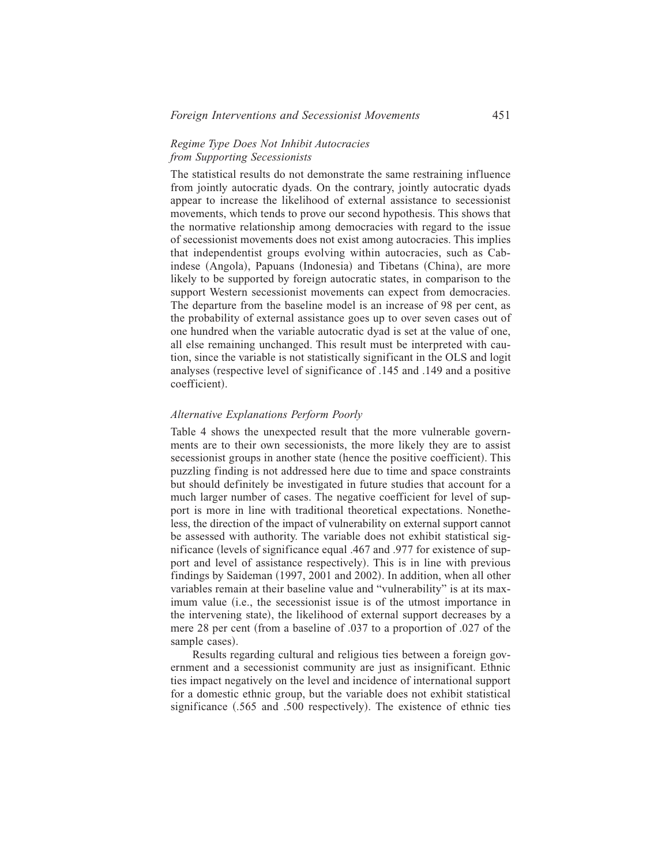# *Regime Type Does Not Inhibit Autocracies from Supporting Secessionists*

The statistical results do not demonstrate the same restraining influence from jointly autocratic dyads. On the contrary, jointly autocratic dyads appear to increase the likelihood of external assistance to secessionist movements, which tends to prove our second hypothesis. This shows that the normative relationship among democracies with regard to the issue of secessionist movements does not exist among autocracies. This implies that independentist groups evolving within autocracies, such as Cabindese (Angola), Papuans (Indonesia) and Tibetans (China), are more likely to be supported by foreign autocratic states, in comparison to the support Western secessionist movements can expect from democracies. The departure from the baseline model is an increase of 98 per cent, as the probability of external assistance goes up to over seven cases out of one hundred when the variable autocratic dyad is set at the value of one, all else remaining unchanged. This result must be interpreted with caution, since the variable is not statistically significant in the OLS and logit analyses (respective level of significance of .145 and .149 and a positive coefficient).

# *Alternative Explanations Perform Poorly*

Table 4 shows the unexpected result that the more vulnerable governments are to their own secessionists, the more likely they are to assist secessionist groups in another state (hence the positive coefficient). This puzzling finding is not addressed here due to time and space constraints but should definitely be investigated in future studies that account for a much larger number of cases. The negative coefficient for level of support is more in line with traditional theoretical expectations. Nonetheless, the direction of the impact of vulnerability on external support cannot be assessed with authority. The variable does not exhibit statistical significance (levels of significance equal .467 and .977 for existence of support and level of assistance respectively). This is in line with previous findings by Saideman  $(1997, 2001$  and  $2002$ ). In addition, when all other variables remain at their baseline value and "vulnerability" is at its maximum value (i.e., the secessionist issue is of the utmost importance in the intervening state), the likelihood of external support decreases by a mere 28 per cent (from a baseline of  $.037$  to a proportion of  $.027$  of the sample cases).

Results regarding cultural and religious ties between a foreign government and a secessionist community are just as insignificant. Ethnic ties impact negatively on the level and incidence of international support for a domestic ethnic group, but the variable does not exhibit statistical significance  $(.565$  and  $.500$  respectively). The existence of ethnic ties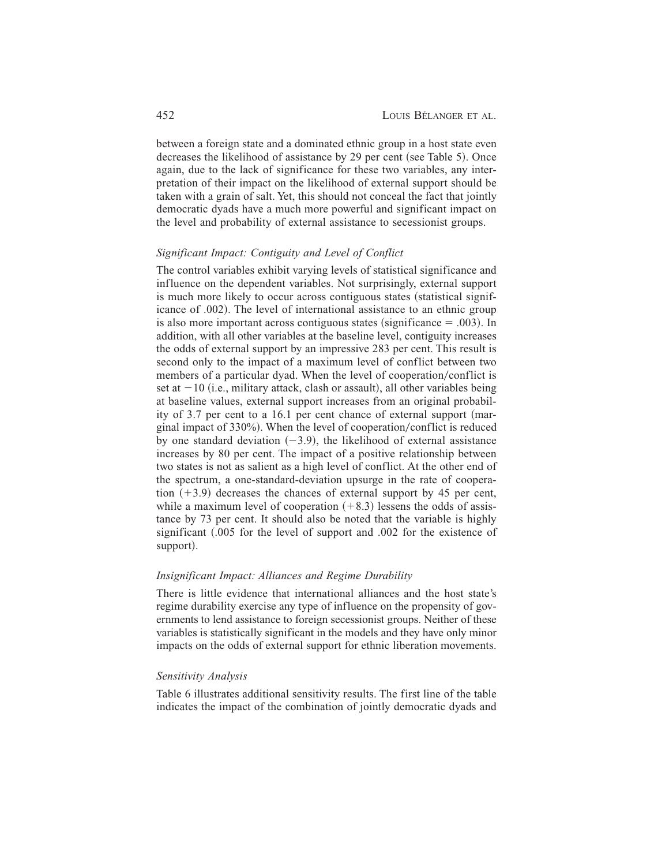between a foreign state and a dominated ethnic group in a host state even decreases the likelihood of assistance by 29 per cent (see Table 5). Once again, due to the lack of significance for these two variables, any interpretation of their impact on the likelihood of external support should be taken with a grain of salt. Yet, this should not conceal the fact that jointly democratic dyads have a much more powerful and significant impact on the level and probability of external assistance to secessionist groups.

## *Significant Impact: Contiguity and Level of Conflict*

The control variables exhibit varying levels of statistical significance and influence on the dependent variables. Not surprisingly, external support is much more likely to occur across contiguous states (statistical significance of .002). The level of international assistance to an ethnic group is also more important across contiguous states (significance  $= .003$ ). In addition, with all other variables at the baseline level, contiguity increases the odds of external support by an impressive 283 per cent. This result is second only to the impact of a maximum level of conflict between two members of a particular dyad. When the level of cooperation/conflict is set at  $-10$  (i.e., military attack, clash or assault), all other variables being at baseline values, external support increases from an original probability of 3.7 per cent to a 16.1 per cent chance of external support (marginal impact of  $330\%$ ). When the level of cooperation/conflict is reduced by one standard deviation  $(-3.9)$ , the likelihood of external assistance increases by 80 per cent. The impact of a positive relationship between two states is not as salient as a high level of conflict. At the other end of the spectrum, a one-standard-deviation upsurge in the rate of cooperation  $(+3.9)$  decreases the chances of external support by 45 per cent, while a maximum level of cooperation  $(+8.3)$  lessens the odds of assistance by 73 per cent. It should also be noted that the variable is highly significant  $(.005$  for the level of support and  $.002$  for the existence of support).

#### *Insignificant Impact: Alliances and Regime Durability*

There is little evidence that international alliances and the host state's regime durability exercise any type of influence on the propensity of governments to lend assistance to foreign secessionist groups. Neither of these variables is statistically significant in the models and they have only minor impacts on the odds of external support for ethnic liberation movements.

## *Sensitivity Analysis*

Table 6 illustrates additional sensitivity results. The first line of the table indicates the impact of the combination of jointly democratic dyads and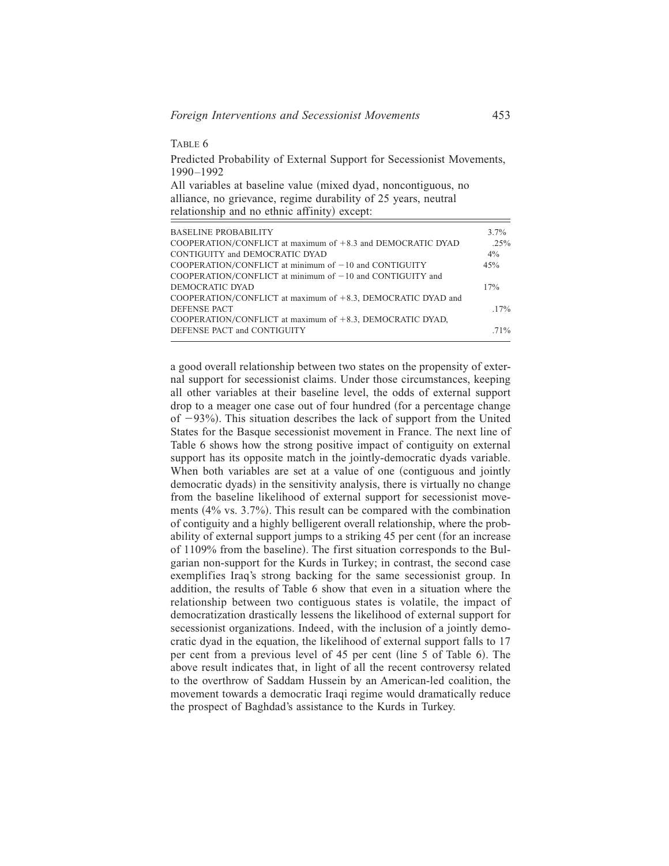TABLE 6

Predicted Probability of External Support for Secessionist Movements, 1990–1992

All variables at baseline value (mixed dyad, noncontiguous, no alliance, no grievance, regime durability of 25 years, neutral relationship and no ethnic affinity) except:

| <b>BASELINE PROBABILITY</b>                                     | $3.7\%$ |
|-----------------------------------------------------------------|---------|
| COOPERATION/CONFLICT at maximum of $+8.3$ and DEMOCRATIC DYAD   | .25%    |
| CONTIGUITY and DEMOCRATIC DYAD                                  | $4\%$   |
| COOPERATION/CONFLICT at minimum of $-10$ and CONTIGUITY         | 45%     |
| COOPERATION/CONFLICT at minimum of $-10$ and CONTIGUITY and     |         |
| DEMOCRATIC DYAD                                                 | 17%     |
| COOPERATION/CONFLICT at maximum of $+8.3$ , DEMOCRATIC DYAD and |         |
| DEFENSE PACT                                                    | $.17\%$ |
| COOPERATION/CONFLICT at maximum of $+8.3$ , DEMOCRATIC DYAD,    |         |
| DEFENSE PACT and CONTIGUITY                                     | .71%    |

a good overall relationship between two states on the propensity of external support for secessionist claims. Under those circumstances, keeping all other variables at their baseline level, the odds of external support drop to a meager one case out of four hundred (for a percentage change of  $-93%$ ). This situation describes the lack of support from the United States for the Basque secessionist movement in France. The next line of Table 6 shows how the strong positive impact of contiguity on external support has its opposite match in the jointly-democratic dyads variable. When both variables are set at a value of one (contiguous and jointly democratic dyads) in the sensitivity analysis, there is virtually no change from the baseline likelihood of external support for secessionist movements  $(4\% \text{ vs. } 3.7\%)$ . This result can be compared with the combination of contiguity and a highly belligerent overall relationship, where the probability of external support jumps to a striking 45 per cent (for an increase of 1109% from the baseline). The first situation corresponds to the Bulgarian non-support for the Kurds in Turkey; in contrast, the second case exemplifies Iraq's strong backing for the same secessionist group. In addition, the results of Table 6 show that even in a situation where the relationship between two contiguous states is volatile, the impact of democratization drastically lessens the likelihood of external support for secessionist organizations. Indeed, with the inclusion of a jointly democratic dyad in the equation, the likelihood of external support falls to 17 per cent from a previous level of 45 per cent (line 5 of Table 6). The above result indicates that, in light of all the recent controversy related to the overthrow of Saddam Hussein by an American-led coalition, the movement towards a democratic Iraqi regime would dramatically reduce the prospect of Baghdad's assistance to the Kurds in Turkey.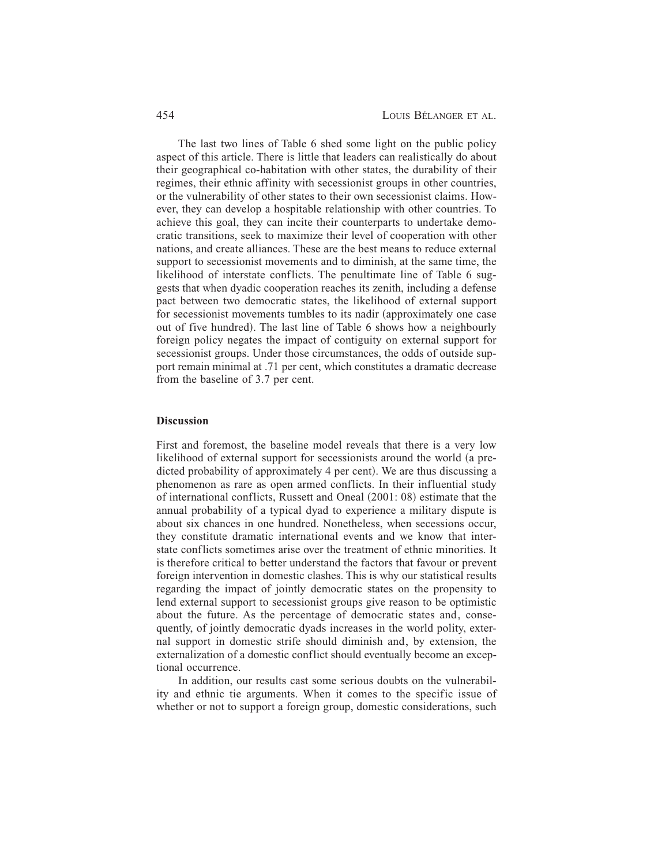The last two lines of Table 6 shed some light on the public policy aspect of this article. There is little that leaders can realistically do about their geographical co-habitation with other states, the durability of their regimes, their ethnic affinity with secessionist groups in other countries, or the vulnerability of other states to their own secessionist claims. However, they can develop a hospitable relationship with other countries. To achieve this goal, they can incite their counterparts to undertake democratic transitions, seek to maximize their level of cooperation with other nations, and create alliances. These are the best means to reduce external support to secessionist movements and to diminish, at the same time, the likelihood of interstate conflicts. The penultimate line of Table 6 suggests that when dyadic cooperation reaches its zenith, including a defense pact between two democratic states, the likelihood of external support for secessionist movements tumbles to its nadir (approximately one case out of five hundred). The last line of Table 6 shows how a neighbourly foreign policy negates the impact of contiguity on external support for secessionist groups. Under those circumstances, the odds of outside support remain minimal at .71 per cent, which constitutes a dramatic decrease from the baseline of 3.7 per cent.

#### **Discussion**

First and foremost, the baseline model reveals that there is a very low likelihood of external support for secessionists around the world (a predicted probability of approximately 4 per cent). We are thus discussing a phenomenon as rare as open armed conflicts. In their influential study of international conflicts, Russett and Oneal  $(2001: 08)$  estimate that the annual probability of a typical dyad to experience a military dispute is about six chances in one hundred. Nonetheless, when secessions occur, they constitute dramatic international events and we know that interstate conflicts sometimes arise over the treatment of ethnic minorities. It is therefore critical to better understand the factors that favour or prevent foreign intervention in domestic clashes. This is why our statistical results regarding the impact of jointly democratic states on the propensity to lend external support to secessionist groups give reason to be optimistic about the future. As the percentage of democratic states and, consequently, of jointly democratic dyads increases in the world polity, external support in domestic strife should diminish and, by extension, the externalization of a domestic conflict should eventually become an exceptional occurrence.

In addition, our results cast some serious doubts on the vulnerability and ethnic tie arguments. When it comes to the specific issue of whether or not to support a foreign group, domestic considerations, such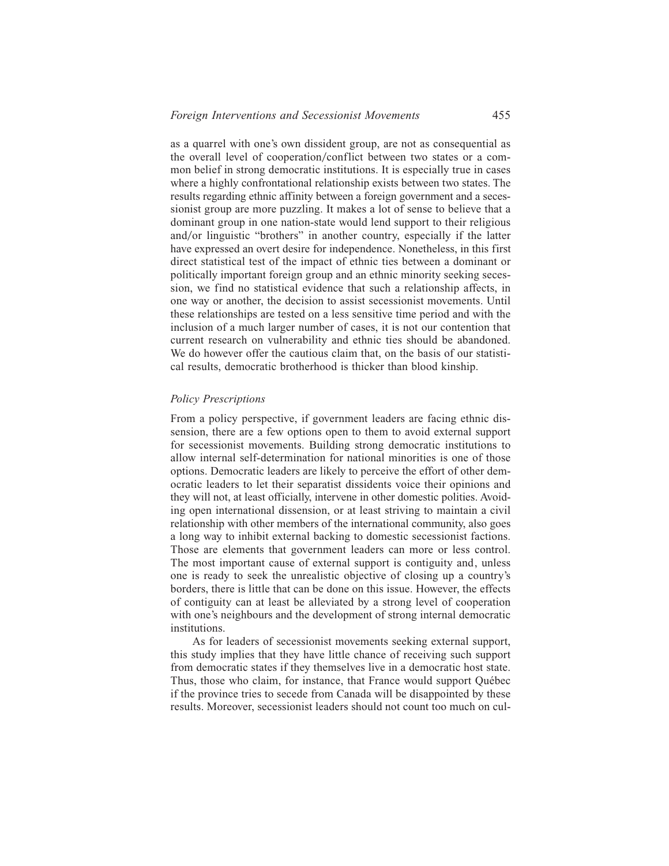as a quarrel with one's own dissident group, are not as consequential as the overall level of cooperation/conflict between two states or a common belief in strong democratic institutions. It is especially true in cases where a highly confrontational relationship exists between two states. The results regarding ethnic affinity between a foreign government and a seces-

sionist group are more puzzling. It makes a lot of sense to believe that a dominant group in one nation-state would lend support to their religious and/or linguistic "brothers" in another country, especially if the latter have expressed an overt desire for independence. Nonetheless, in this first direct statistical test of the impact of ethnic ties between a dominant or politically important foreign group and an ethnic minority seeking secession, we find no statistical evidence that such a relationship affects, in one way or another, the decision to assist secessionist movements. Until these relationships are tested on a less sensitive time period and with the inclusion of a much larger number of cases, it is not our contention that current research on vulnerability and ethnic ties should be abandoned. We do however offer the cautious claim that, on the basis of our statistical results, democratic brotherhood is thicker than blood kinship.

## *Policy Prescriptions*

From a policy perspective, if government leaders are facing ethnic dissension, there are a few options open to them to avoid external support for secessionist movements. Building strong democratic institutions to allow internal self-determination for national minorities is one of those options. Democratic leaders are likely to perceive the effort of other democratic leaders to let their separatist dissidents voice their opinions and they will not, at least officially, intervene in other domestic polities. Avoiding open international dissension, or at least striving to maintain a civil relationship with other members of the international community, also goes a long way to inhibit external backing to domestic secessionist factions. Those are elements that government leaders can more or less control. The most important cause of external support is contiguity and, unless one is ready to seek the unrealistic objective of closing up a country's borders, there is little that can be done on this issue. However, the effects of contiguity can at least be alleviated by a strong level of cooperation with one's neighbours and the development of strong internal democratic institutions.

As for leaders of secessionist movements seeking external support, this study implies that they have little chance of receiving such support from democratic states if they themselves live in a democratic host state. Thus, those who claim, for instance, that France would support Québec if the province tries to secede from Canada will be disappointed by these results. Moreover, secessionist leaders should not count too much on cul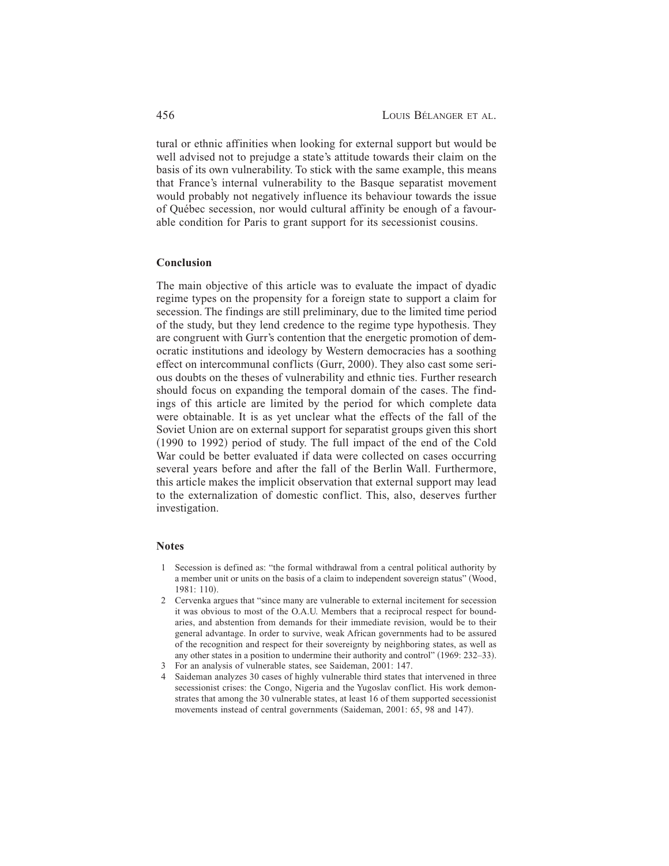tural or ethnic affinities when looking for external support but would be well advised not to prejudge a state's attitude towards their claim on the basis of its own vulnerability. To stick with the same example, this means that France's internal vulnerability to the Basque separatist movement would probably not negatively influence its behaviour towards the issue of Québec secession, nor would cultural affinity be enough of a favourable condition for Paris to grant support for its secessionist cousins.

# **Conclusion**

The main objective of this article was to evaluate the impact of dyadic regime types on the propensity for a foreign state to support a claim for secession. The findings are still preliminary, due to the limited time period of the study, but they lend credence to the regime type hypothesis. They are congruent with Gurr's contention that the energetic promotion of democratic institutions and ideology by Western democracies has a soothing effect on intercommunal conflicts  $(Gurr, 2000)$ . They also cast some serious doubts on the theses of vulnerability and ethnic ties. Further research should focus on expanding the temporal domain of the cases. The findings of this article are limited by the period for which complete data were obtainable. It is as yet unclear what the effects of the fall of the Soviet Union are on external support for separatist groups given this short  $(1990$  to 1992) period of study. The full impact of the end of the Cold War could be better evaluated if data were collected on cases occurring several years before and after the fall of the Berlin Wall. Furthermore, this article makes the implicit observation that external support may lead to the externalization of domestic conflict. This, also, deserves further investigation.

## **Notes**

- 1 Secession is defined as: "the formal withdrawal from a central political authority by a member unit or units on the basis of a claim to independent sovereign status" (Wood, 1981: 110).
- 2 Cervenka argues that "since many are vulnerable to external incitement for secession it was obvious to most of the O.A.U. Members that a reciprocal respect for boundaries, and abstention from demands for their immediate revision, would be to their general advantage. In order to survive, weak African governments had to be assured of the recognition and respect for their sovereignty by neighboring states, as well as any other states in a position to undermine their authority and control"  $(1969: 232-33)$ .
- 3 For an analysis of vulnerable states, see Saideman, 2001: 147.
- 4 Saideman analyzes 30 cases of highly vulnerable third states that intervened in three secessionist crises: the Congo, Nigeria and the Yugoslav conflict. His work demonstrates that among the 30 vulnerable states, at least 16 of them supported secessionist movements instead of central governments (Saideman, 2001: 65, 98 and 147).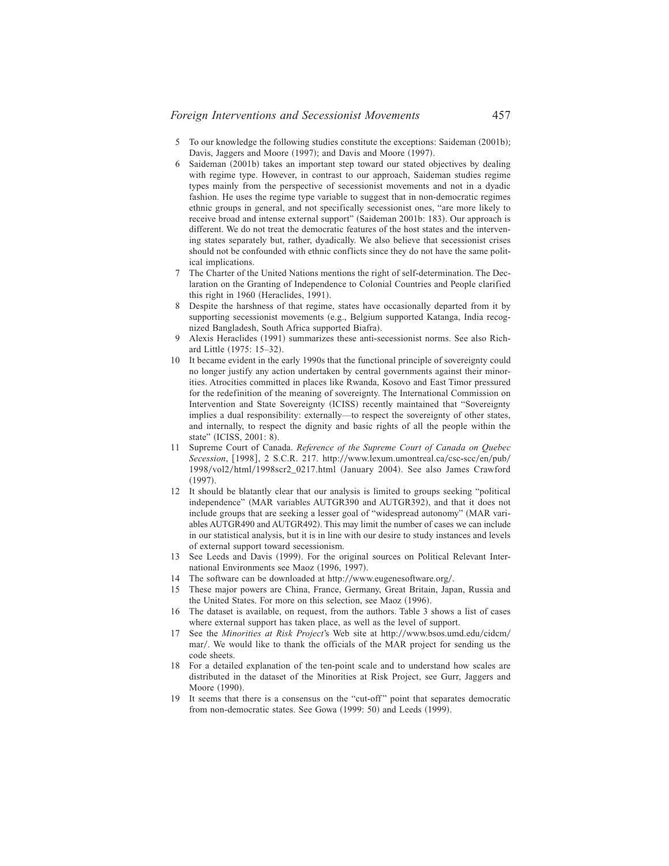- 5 To our knowledge the following studies constitute the exceptions: Saideman (2001b); Davis, Jaggers and Moore (1997); and Davis and Moore (1997).
- $6$  Saideman  $(2001b)$  takes an important step toward our stated objectives by dealing with regime type. However, in contrast to our approach, Saideman studies regime types mainly from the perspective of secessionist movements and not in a dyadic fashion. He uses the regime type variable to suggest that in non-democratic regimes ethnic groups in general, and not specifically secessionist ones, "are more likely to receive broad and intense external support" (Saideman 2001b: 183). Our approach is different. We do not treat the democratic features of the host states and the intervening states separately but, rather, dyadically. We also believe that secessionist crises should not be confounded with ethnic conflicts since they do not have the same political implications.
- 7 The Charter of the United Nations mentions the right of self-determination. The Declaration on the Granting of Independence to Colonial Countries and People clarified this right in  $1960$  (Heraclides, 1991).
- 8 Despite the harshness of that regime, states have occasionally departed from it by supporting secessionist movements (e.g., Belgium supported Katanga, India recognized Bangladesh, South Africa supported Biafra).
- 9 Alexis Heraclides (1991) summarizes these anti-secessionist norms. See also Richard Little (1975: 15–32).
- 10 It became evident in the early 1990s that the functional principle of sovereignty could no longer justify any action undertaken by central governments against their minorities. Atrocities committed in places like Rwanda, Kosovo and East Timor pressured for the redefinition of the meaning of sovereignty. The International Commission on Intervention and State Sovereignty (ICISS) recently maintained that "Sovereignty implies a dual responsibility: externally—to respect the sovereignty of other states, and internally, to respect the dignity and basic rights of all the people within the state" (ICISS, 2001: 8).
- 11 Supreme Court of Canada. *Reference of the Supreme Court of Canada on Quebec Secession*, [1998], 2 S.C.R. 217. http://www.lexum.umontreal.ca/csc-scc/en/pub/ 1998/vol2/html/1998scr2\_0217.html (January 2004). See also James Crawford  $(1997).$
- 12 It should be blatantly clear that our analysis is limited to groups seeking "political independence" (MAR variables AUTGR390 and AUTGR392), and that it does not include groups that are seeking a lesser goal of "widespread autonomy" (MAR variables AUTGR490 and AUTGR492). This may limit the number of cases we can include in our statistical analysis, but it is in line with our desire to study instances and levels of external support toward secessionism.
- 13 See Leeds and Davis (1999). For the original sources on Political Relevant International Environments see Maoz (1996, 1997).
- 14 The software can be downloaded at http://www.eugenesoftware.org/.
- 15 These major powers are China, France, Germany, Great Britain, Japan, Russia and the United States. For more on this selection, see Maoz (1996).
- 16 The dataset is available, on request, from the authors. Table 3 shows a list of cases where external support has taken place, as well as the level of support.
- 17 See the *Minorities at Risk Project'*s Web site at http://www.bsos.umd.edu/cidcm/ mar/. We would like to thank the officials of the MAR project for sending us the code sheets.
- 18 For a detailed explanation of the ten-point scale and to understand how scales are distributed in the dataset of the Minorities at Risk Project, see Gurr, Jaggers and Moore (1990).
- 19 It seems that there is a consensus on the "cut-off " point that separates democratic from non-democratic states. See Gowa (1999: 50) and Leeds (1999).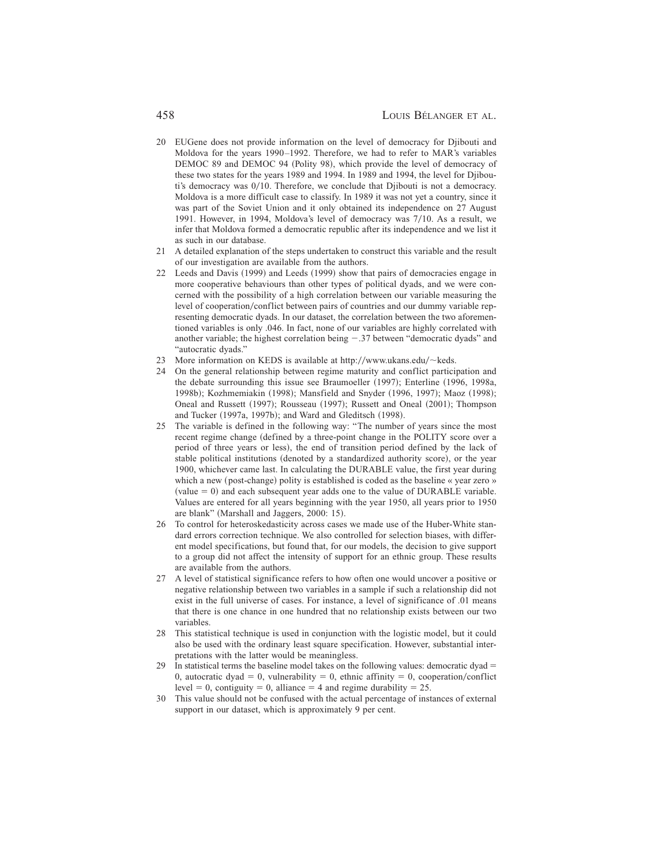- 20 EUGene does not provide information on the level of democracy for Djibouti and Moldova for the years 1990–1992. Therefore, we had to refer to MAR's variables DEMOC 89 and DEMOC 94 (Polity 98), which provide the level of democracy of these two states for the years 1989 and 1994. In 1989 and 1994, the level for Djibouti's democracy was  $0/10$ . Therefore, we conclude that Djibouti is not a democracy. Moldova is a more difficult case to classify. In 1989 it was not yet a country, since it was part of the Soviet Union and it only obtained its independence on 27 August 1991. However, in 1994, Moldova's level of democracy was 7/10. As a result, we infer that Moldova formed a democratic republic after its independence and we list it as such in our database.
- 21 A detailed explanation of the steps undertaken to construct this variable and the result of our investigation are available from the authors.
- 22 Leeds and Davis (1999) and Leeds (1999) show that pairs of democracies engage in more cooperative behaviours than other types of political dyads, and we were concerned with the possibility of a high correlation between our variable measuring the level of cooperation/conflict between pairs of countries and our dummy variable representing democratic dyads. In our dataset, the correlation between the two aforementioned variables is only .046. In fact, none of our variables are highly correlated with another variable; the highest correlation being  $-.37$  between "democratic dyads" and "autocratic dyads."
- 23 More information on KEDS is available at http://www.ukans.edu/ $\sim$ keds.
- 24 On the general relationship between regime maturity and conflict participation and the debate surrounding this issue see Braumoeller (1997); Enterline (1996, 1998a, 1998b); Kozhmemiakin (1998); Mansfield and Snyder (1996, 1997); Maoz (1998); Oneal and Russett (1997); Rousseau (1997); Russett and Oneal (2001); Thompson and Tucker  $(1997a, 1997b)$ ; and Ward and Gleditsch  $(1998)$ .
- 25 The variable is defined in the following way: "The number of years since the most recent regime change (defined by a three-point change in the POLITY score over a period of three years or less), the end of transition period defined by the lack of stable political institutions (denoted by a standardized authority score), or the year 1900, whichever came last. In calculating the DURABLE value, the first year during which a new (post-change) polity is established is coded as the baseline « year zero »  $\text{(value = 0)}$  and each subsequent year adds one to the value of DURABLE variable. Values are entered for all years beginning with the year 1950, all years prior to 1950 are blank" (Marshall and Jaggers, 2000: 15).
- 26 To control for heteroskedasticity across cases we made use of the Huber-White standard errors correction technique. We also controlled for selection biases, with different model specifications, but found that, for our models, the decision to give support to a group did not affect the intensity of support for an ethnic group. These results are available from the authors.
- 27 A level of statistical significance refers to how often one would uncover a positive or negative relationship between two variables in a sample if such a relationship did not exist in the full universe of cases. For instance, a level of significance of .01 means that there is one chance in one hundred that no relationship exists between our two variables.
- 28 This statistical technique is used in conjunction with the logistic model, but it could also be used with the ordinary least square specification. However, substantial interpretations with the latter would be meaningless.
- 29 In statistical terms the baseline model takes on the following values: democratic dyad  $=$ 0, autocratic dyad = 0, vulnerability = 0, ethnic affinity = 0, cooperation/conflict level  $= 0$ , contiguity  $= 0$ , alliance  $= 4$  and regime durability  $= 25$ .
- 30 This value should not be confused with the actual percentage of instances of external support in our dataset, which is approximately 9 per cent.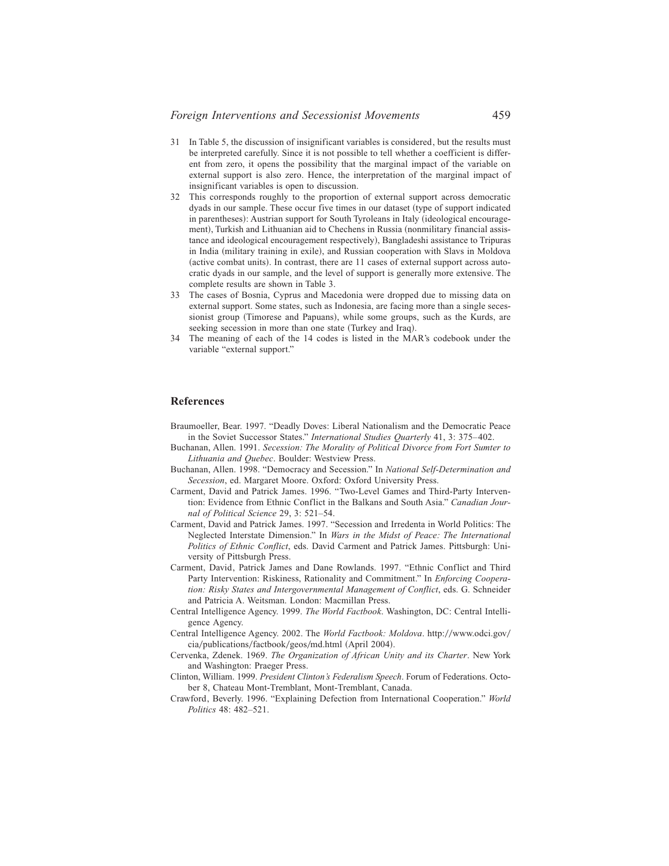- 31 In Table 5, the discussion of insignificant variables is considered, but the results must be interpreted carefully. Since it is not possible to tell whether a coefficient is different from zero, it opens the possibility that the marginal impact of the variable on external support is also zero. Hence, the interpretation of the marginal impact of insignificant variables is open to discussion.
- 32 This corresponds roughly to the proportion of external support across democratic dyads in our sample. These occur five times in our dataset (type of support indicated in parentheses): Austrian support for South Tyroleans in Italy (ideological encouragement), Turkish and Lithuanian aid to Chechens in Russia (nonmilitary financial assistance and ideological encouragement respectively), Bangladeshi assistance to Tripuras in India (military training in exile), and Russian cooperation with Slavs in Moldova (active combat units). In contrast, there are 11 cases of external support across autocratic dyads in our sample, and the level of support is generally more extensive. The complete results are shown in Table 3.
- 33 The cases of Bosnia, Cyprus and Macedonia were dropped due to missing data on external support. Some states, such as Indonesia, are facing more than a single secessionist group (Timorese and Papuans), while some groups, such as the Kurds, are seeking secession in more than one state (Turkey and Iraq).
- 34 The meaning of each of the 14 codes is listed in the MAR's codebook under the variable "external support."

#### **References**

- Braumoeller, Bear. 1997. "Deadly Doves: Liberal Nationalism and the Democratic Peace in the Soviet Successor States." *International Studies Quarterly* 41, 3: 375–402.
- Buchanan, Allen. 1991. *Secession: The Morality of Political Divorce from Fort Sumter to Lithuania and Quebec*. Boulder: Westview Press.
- Buchanan, Allen. 1998. "Democracy and Secession." In *National Self-Determination and Secession*, ed. Margaret Moore. Oxford: Oxford University Press.
- Carment, David and Patrick James. 1996. "Two-Level Games and Third-Party Intervention: Evidence from Ethnic Conflict in the Balkans and South Asia." *Canadian Journal of Political Science* 29, 3: 521–54.
- Carment, David and Patrick James. 1997. "Secession and Irredenta in World Politics: The Neglected Interstate Dimension." In *Wars in the Midst of Peace: The International Politics of Ethnic Conflict*, eds. David Carment and Patrick James. Pittsburgh: University of Pittsburgh Press.
- Carment, David, Patrick James and Dane Rowlands. 1997. "Ethnic Conflict and Third Party Intervention: Riskiness, Rationality and Commitment." In *Enforcing Cooperation: Risky States and Intergovernmental Management of Conflict*, eds. G. Schneider and Patricia A. Weitsman. London: Macmillan Press.
- Central Intelligence Agency. 1999. *The World Factbook*. Washington, DC: Central Intelligence Agency.
- Central Intelligence Agency. 2002. The *World Factbook: Moldova*. http://www.odci.gov/  $cia/publications/factbook/geos/ml.html (April 2004).$
- Cervenka, Zdenek. 1969. *The Organization of African Unity and its Charter*. New York and Washington: Praeger Press.
- Clinton, William. 1999. *President Clinton's Federalism Speech*. Forum of Federations. October 8, Chateau Mont-Tremblant, Mont-Tremblant, Canada.
- Crawford, Beverly. 1996. "Explaining Defection from International Cooperation." *World Politics* 48: 482–521.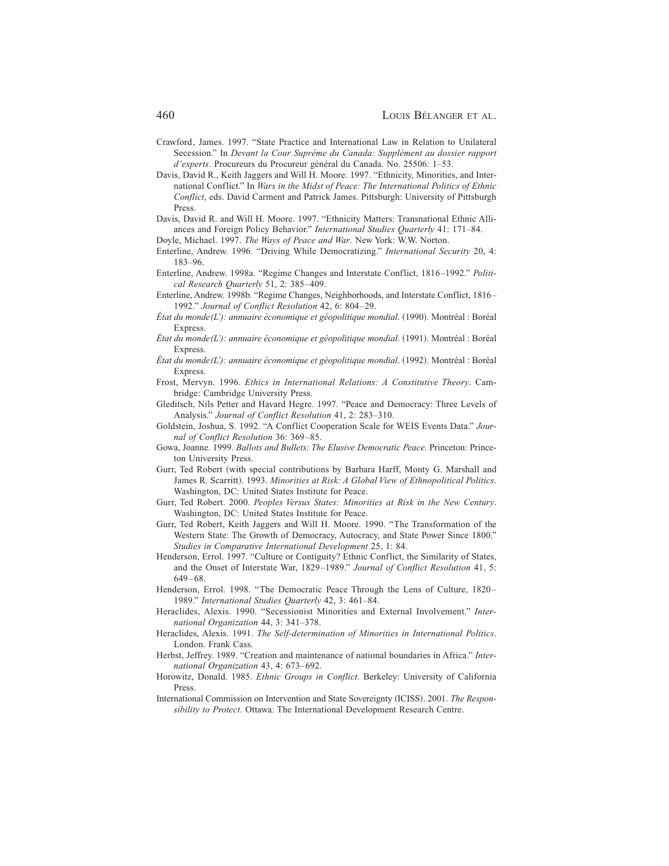- Crawford, James. 1997. "State Practice and International Law in Relation to Unilateral Secession." In *Devant la Cour Suprême du Canada: Supplément au dossier rapport d'experts*. Procureurs du Procureur général du Canada. No. 25506: 1–53.
- Davis, David R., Keith Jaggers and Will H. Moore. 1997. "Ethnicity, Minorities, and International Conflict." In *Wars in the Midst of Peace: The International Politics of Ethnic Conflict*, eds. David Carment and Patrick James. Pittsburgh: University of Pittsburgh Press.
- Davis, David R. and Will H. Moore. 1997. "Ethnicity Matters: Transnational Ethnic Alliances and Foreign Policy Behavior." *International Studies Quarterly* 41: 171–84.
- Doyle, Michael. 1997. *The Ways of Peace and War*. New York: W.W. Norton.
- Enterline, Andrew. 1996. "Driving While Democratizing." *International Security* 20, 4: 183–96.
- Enterline, Andrew. 1998a. "Regime Changes and Interstate Conflict, 1816–1992." *Political Research Quarterly* 51, 2: 385–409.
- Enterline, Andrew. 1998b. "Regime Changes, Neighborhoods, and Interstate Conflict, 1816– 1992." *Journal of Conflict Resolution* 42, 6: 804–29.
- État du monde(L'): annuaire économique et géopolitique mondial. (1990). Montréal : Boréal Express.
- *État du monde(L'): annuaire économique et géopolitique mondial*. ~1991!. Montréal : Boréal Express.
- *État du monde* (L'): annuaire économique et géopolitique mondial. (1992). Montréal : Boréal Express.
- Frost, Mervyn. 1996. *Ethics in International Relations: A Constitutive Theory*. Cambridge: Cambridge University Press.
- Gleditsch, Nils Petter and Havard Hegre. 1997. "Peace and Democracy: Three Levels of Analysis." *Journal of Conflict Resolution* 41, 2: 283–310.
- Goldstein, Joshua, S. 1992. "A Conflict Cooperation Scale for WEIS Events Data." *Journal of Conflict Resolution* 36: 369–85.
- Gowa, Joanne. 1999. *Ballots and Bullets: The Elusive Democratic Peace*. Princeton: Princeton University Press.
- Gurr, Ted Robert (with special contributions by Barbara Harff, Monty G. Marshall and James R. Scarritt). 1993. *Minorities at Risk: A Global View of Ethnopolitical Politics*. Washington, DC: United States Institute for Peace.
- Gurr, Ted Robert. 2000. *Peoples Versus States: Minorities at Risk in the New Century*. Washington, DC: United States Institute for Peace.
- Gurr, Ted Robert, Keith Jaggers and Will H. Moore. 1990. "The Transformation of the Western State: The Growth of Democracy, Autocracy, and State Power Since 1800." *Studies in Comparative International Development* 25, 1: 84.
- Henderson, Errol. 1997. "Culture or Contiguity? Ethnic Conflict, the Similarity of States, and the Onset of Interstate War, 1829–1989." *Journal of Conflict Resolution* 41, 5: 649–68.
- Henderson, Errol. 1998. "The Democratic Peace Through the Lens of Culture, 1820– 1989." *International Studies Quarterly* 42, 3: 461–84.
- Heraclides, Alexis. 1990. "Secessionist Minorities and External Involvement." *International Organization* 44, 3: 341–378.
- Heraclides, Alexis. 1991. *The Self-determination of Minorities in International Politics*. London. Frank Cass.
- Herbst, Jeffrey. 1989. "Creation and maintenance of national boundaries in Africa." *International Organization* 43, 4: 673–692.
- Horowitz, Donald. 1985. *Ethnic Groups in Conflict*. Berkeley: University of California Press.
- International Commission on Intervention and State Sovereignty (ICISS). 2001. *The Responsibility to Protect*. Ottawa: The International Development Research Centre.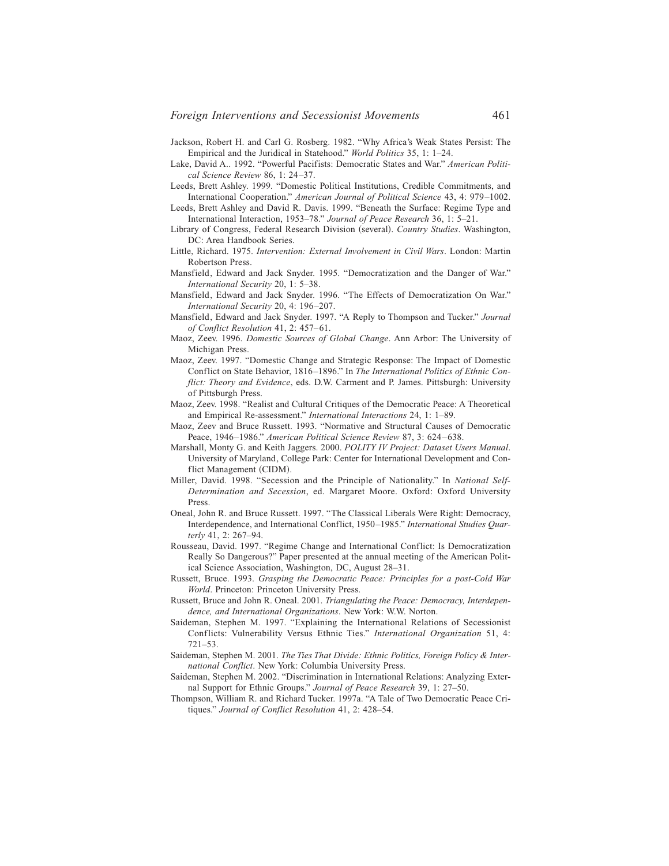- Jackson, Robert H. and Carl G. Rosberg. 1982. "Why Africa's Weak States Persist: The Empirical and the Juridical in Statehood." *World Politics* 35, 1: 1–24.
- Lake, David A.. 1992. "Powerful Pacifists: Democratic States and War." *American Political Science Review* 86, 1: 24–37.
- Leeds, Brett Ashley. 1999. "Domestic Political Institutions, Credible Commitments, and International Cooperation." *American Journal of Political Science* 43, 4: 979–1002.
- Leeds, Brett Ashley and David R. Davis. 1999. "Beneath the Surface: Regime Type and International Interaction, 1953–78." *Journal of Peace Research* 36, 1: 5–21.
- Library of Congress, Federal Research Division (several). *Country Studies*. Washington, DC: Area Handbook Series.
- Little, Richard. 1975. *Intervention: External Involvement in Civil Wars*. London: Martin Robertson Press.
- Mansfield, Edward and Jack Snyder. 1995. "Democratization and the Danger of War." *International Security* 20, 1: 5–38.
- Mansfield, Edward and Jack Snyder. 1996. "The Effects of Democratization On War." *International Security* 20, 4: 196–207.
- Mansfield, Edward and Jack Snyder. 1997. "A Reply to Thompson and Tucker." *Journal of Conflict Resolution* 41, 2: 457–61.
- Maoz, Zeev. 1996. *Domestic Sources of Global Change*. Ann Arbor: The University of Michigan Press.
- Maoz, Zeev. 1997. "Domestic Change and Strategic Response: The Impact of Domestic Conflict on State Behavior, 1816–1896." In *The International Politics of Ethnic Conflict: Theory and Evidence*, eds. D.W. Carment and P. James. Pittsburgh: University of Pittsburgh Press.
- Maoz, Zeev. 1998. "Realist and Cultural Critiques of the Democratic Peace: A Theoretical and Empirical Re-assessment." *International Interactions* 24, 1: 1–89.
- Maoz, Zeev and Bruce Russett. 1993. "Normative and Structural Causes of Democratic Peace, 1946–1986." *American Political Science Review* 87, 3: 624–638.
- Marshall, Monty G. and Keith Jaggers. 2000. *POLITY IV Project: Dataset Users Manual*. University of Maryland, College Park: Center for International Development and Conflict Management (CIDM).
- Miller, David. 1998. "Secession and the Principle of Nationality." In *National Self-Determination and Secession*, ed. Margaret Moore. Oxford: Oxford University Press.
- Oneal, John R. and Bruce Russett. 1997. "The Classical Liberals Were Right: Democracy, Interdependence, and International Conflict, 1950–1985." *International Studies Quarterly* 41, 2: 267–94.
- Rousseau, David. 1997. "Regime Change and International Conflict: Is Democratization Really So Dangerous?" Paper presented at the annual meeting of the American Political Science Association, Washington, DC, August 28–31.
- Russett, Bruce. 1993. *Grasping the Democratic Peace: Principles for a post-Cold War World*. Princeton: Princeton University Press.
- Russett, Bruce and John R. Oneal. 2001. *Triangulating the Peace: Democracy, Interdependence, and International Organizations*. New York: W.W. Norton.
- Saideman, Stephen M. 1997. "Explaining the International Relations of Secessionist Conflicts: Vulnerability Versus Ethnic Ties." *International Organization* 51, 4: 721–53.
- Saideman, Stephen M. 2001. *The Ties That Divide: Ethnic Politics, Foreign Policy & International Conflict*. New York: Columbia University Press.
- Saideman, Stephen M. 2002. "Discrimination in International Relations: Analyzing External Support for Ethnic Groups." *Journal of Peace Research* 39, 1: 27–50.
- Thompson, William R. and Richard Tucker. 1997a. "A Tale of Two Democratic Peace Critiques." *Journal of Conflict Resolution* 41, 2: 428–54.